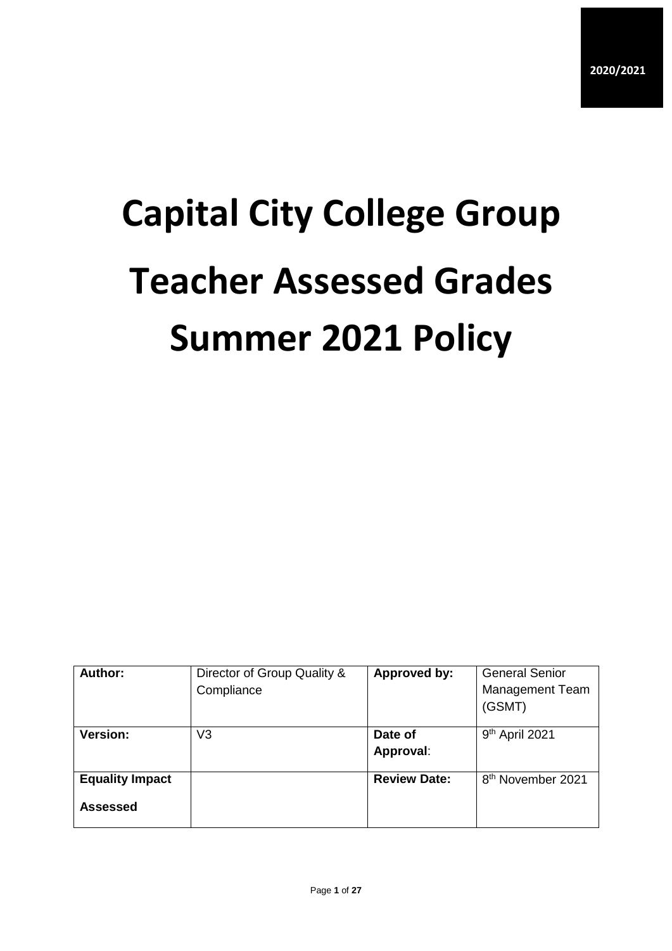# **Capital City College Group Teacher Assessed Grades Summer 2021 Policy**

| Author:                            | Director of Group Quality &<br>Compliance | Approved by:         | <b>General Senior</b><br><b>Management Team</b><br>(GSMT) |
|------------------------------------|-------------------------------------------|----------------------|-----------------------------------------------------------|
| <b>Version:</b>                    | V3                                        | Date of<br>Approval: | 9 <sup>th</sup> April 2021                                |
| <b>Equality Impact</b><br>Assessed |                                           | <b>Review Date:</b>  | 8 <sup>th</sup> November 2021                             |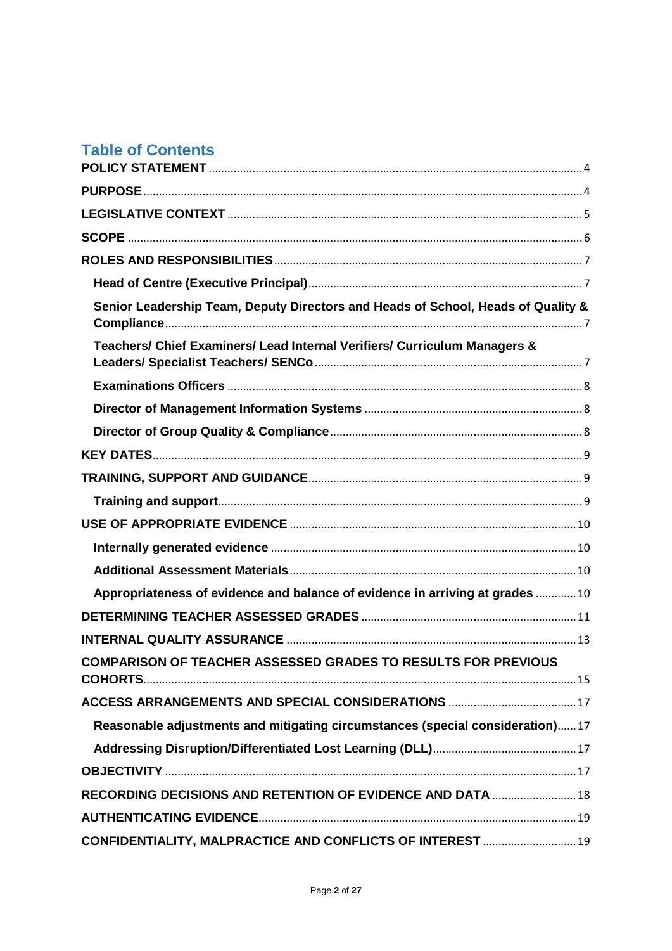## **Table of Contents**

| Senior Leadership Team, Deputy Directors and Heads of School, Heads of Quality & |
|----------------------------------------------------------------------------------|
| Teachers/ Chief Examiners/ Lead Internal Verifiers/ Curriculum Managers &        |
|                                                                                  |
|                                                                                  |
|                                                                                  |
|                                                                                  |
|                                                                                  |
|                                                                                  |
|                                                                                  |
|                                                                                  |
|                                                                                  |
| Appropriateness of evidence and balance of evidence in arriving at grades 10     |
|                                                                                  |
|                                                                                  |
| COMPARISON OF TEACHER ASSESSED GRADES TO RESULTS FOR PREVIOUS                    |
|                                                                                  |
| Reasonable adjustments and mitigating circumstances (special consideration)17    |
|                                                                                  |
|                                                                                  |
| RECORDING DECISIONS AND RETENTION OF EVIDENCE AND DATA  18                       |
|                                                                                  |
| CONFIDENTIALITY, MALPRACTICE AND CONFLICTS OF INTEREST  19                       |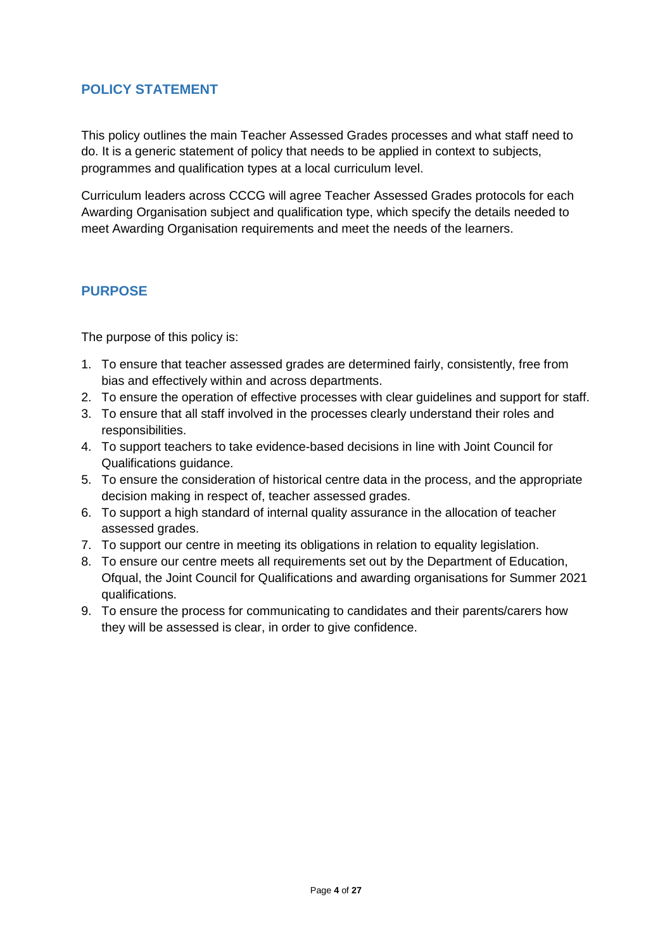## <span id="page-3-0"></span>**POLICY STATEMENT**

This policy outlines the main Teacher Assessed Grades processes and what staff need to do. It is a generic statement of policy that needs to be applied in context to subjects, programmes and qualification types at a local curriculum level.

Curriculum leaders across CCCG will agree Teacher Assessed Grades protocols for each Awarding Organisation subject and qualification type, which specify the details needed to meet Awarding Organisation requirements and meet the needs of the learners.

## <span id="page-3-1"></span>**PURPOSE**

The purpose of this policy is:

- 1. To ensure that teacher assessed grades are determined fairly, consistently, free from bias and effectively within and across departments.
- 2. To ensure the operation of effective processes with clear guidelines and support for staff.
- 3. To ensure that all staff involved in the processes clearly understand their roles and responsibilities.
- 4. To support teachers to take evidence-based decisions in line with Joint Council for Qualifications guidance.
- 5. To ensure the consideration of historical centre data in the process, and the appropriate decision making in respect of, teacher assessed grades.
- 6. To support a high standard of internal quality assurance in the allocation of teacher assessed grades.
- 7. To support our centre in meeting its obligations in relation to equality legislation.
- 8. To ensure our centre meets all requirements set out by the Department of Education, Ofqual, the Joint Council for Qualifications and awarding organisations for Summer 2021 qualifications.
- 9. To ensure the process for communicating to candidates and their parents/carers how they will be assessed is clear, in order to give confidence.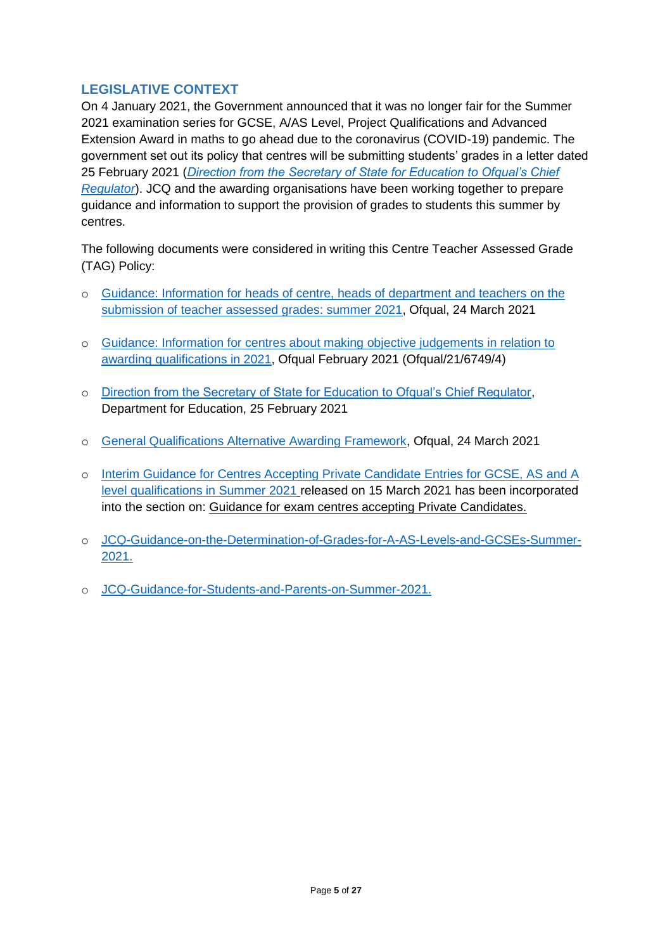## <span id="page-4-0"></span>**LEGISLATIVE CONTEXT**

On 4 January 2021, the Government announced that it was no longer fair for the Summer 2021 examination series for GCSE, A/AS Level, Project Qualifications and Advanced Extension Award in maths to go ahead due to the coronavirus (COVID-19) pandemic. The government set out its policy that centres will be submitting students' grades in a letter dated 25 February 2021 (*[Direction from the Secretary of State for Education to Ofqual's Chief](https://www.gov.uk/government/publications/direction-issued-to-ofqual)  [Regulator](https://www.gov.uk/government/publications/direction-issued-to-ofqual)*). JCQ and the awarding organisations have been working together to prepare guidance and information to support the provision of grades to students this summer by centres.

The following documents were considered in writing this Centre Teacher Assessed Grade (TAG) Policy:

- o [Guidance: Information for heads of centre, heads of department and teachers](https://www.gov.uk/government/publications/submission-of-teacher-assessed-grades-summer-2021-info-for-teachers/information-for-heads-of-centre-heads-of-department-and-teachers-on-the-submission-of-teacher-assessed-grades-summer-2021-html) on the [submission of teacher assessed grades: summer 2021,](https://www.gov.uk/government/publications/submission-of-teacher-assessed-grades-summer-2021-info-for-teachers/information-for-heads-of-centre-heads-of-department-and-teachers-on-the-submission-of-teacher-assessed-grades-summer-2021-html) Ofqual, 24 March 2021
- o [Guidance: Information for centres about making objective judgements in relation to](https://assets.publishing.service.gov.uk/government/uploads/system/uploads/attachment_data/file/970916/6749-4_Information_for_centres_about_making_objective_judgements.pdf)  [awarding qualifications in 2021,](https://assets.publishing.service.gov.uk/government/uploads/system/uploads/attachment_data/file/970916/6749-4_Information_for_centres_about_making_objective_judgements.pdf) Ofqual February 2021 (Ofqual/21/6749/4)
- o [Direction from the Secretary of State for Education to Ofqual's Chief Regulator,](https://www.gov.uk/government/publications/direction-issued-to-ofqual) Department for Education, 25 February 2021
- o [General Qualifications Alternative Awarding Framework,](https://assets.publishing.service.gov.uk/government/uploads/system/uploads/attachment_data/file/972545/6768-3_General_qualificatons_alternative_awarding_framework.pdf) Ofqual, 24 March 2021
- o [Interim Guidance for Centres Accepting Private Candidate Entries for GCSE, AS and A](https://www.jcq.org.uk/wp-content/uploads/2021/03/JCQ_Interim-Guidance-for-Private-Candidate-Centres.pdf)  [level qualifications in Summer 2021](https://www.jcq.org.uk/wp-content/uploads/2021/03/JCQ_Interim-Guidance-for-Private-Candidate-Centres.pdf) released on 15 March 2021 has been incorporated into the section on: Guidance for exam centres accepting Private Candidates.
- o [JCQ-Guidance-on-the-Determination-of-Grades-for-A-AS-Levels-and-GCSEs-Summer-](https://www.jcq.org.uk/wp-content/uploads/2021/03/JCQ-Guidance-on-the-Determination-of-Grades-for-A-AS-Levels-and-GCSEs-Summer-2021.pdf)[2021.](https://www.jcq.org.uk/wp-content/uploads/2021/03/JCQ-Guidance-on-the-Determination-of-Grades-for-A-AS-Levels-and-GCSEs-Summer-2021.pdf)
- o [JCQ-Guidance-for-Students-and-Parents-on-Summer-2021.](https://www.jcq.org.uk/wp-content/uploads/2021/03/JCQ-Guidance-for-Students-and-Parents-on-Summer-2021.pdf)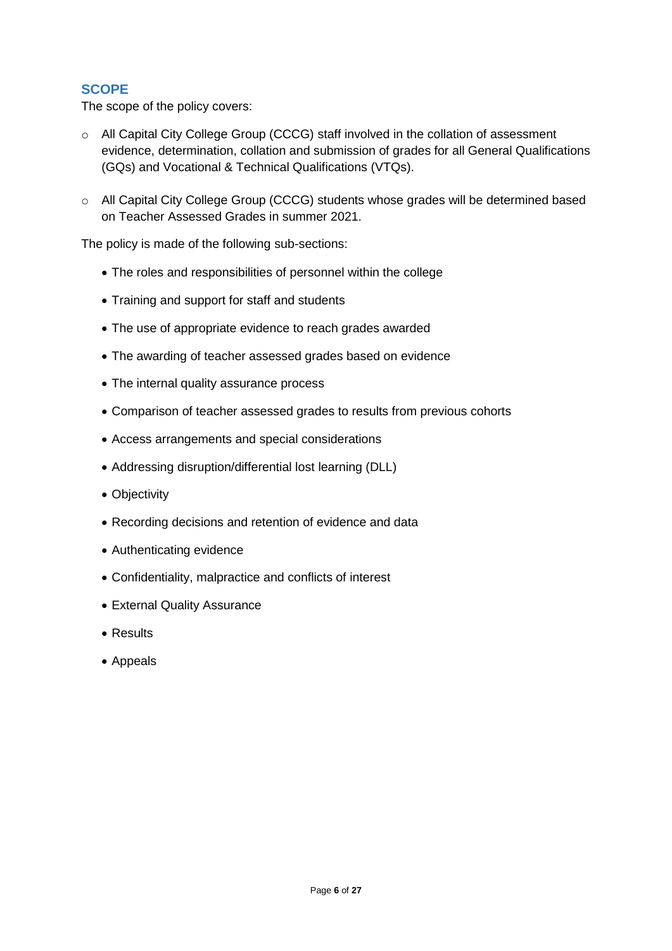### <span id="page-5-0"></span>**SCOPE**

The scope of the policy covers:

- o All Capital City College Group (CCCG) staff involved in the collation of assessment evidence, determination, collation and submission of grades for all General Qualifications (GQs) and Vocational & Technical Qualifications (VTQs).
- o All Capital City College Group (CCCG) students whose grades will be determined based on Teacher Assessed Grades in summer 2021.

The policy is made of the following sub-sections:

- The roles and responsibilities of personnel within the college
- Training and support for staff and students
- The use of appropriate evidence to reach grades awarded
- The awarding of teacher assessed grades based on evidence
- The internal quality assurance process
- Comparison of teacher assessed grades to results from previous cohorts
- Access arrangements and special considerations
- Addressing disruption/differential lost learning (DLL)
- Objectivity
- Recording decisions and retention of evidence and data
- Authenticating evidence
- Confidentiality, malpractice and conflicts of interest
- External Quality Assurance
- Results
- Appeals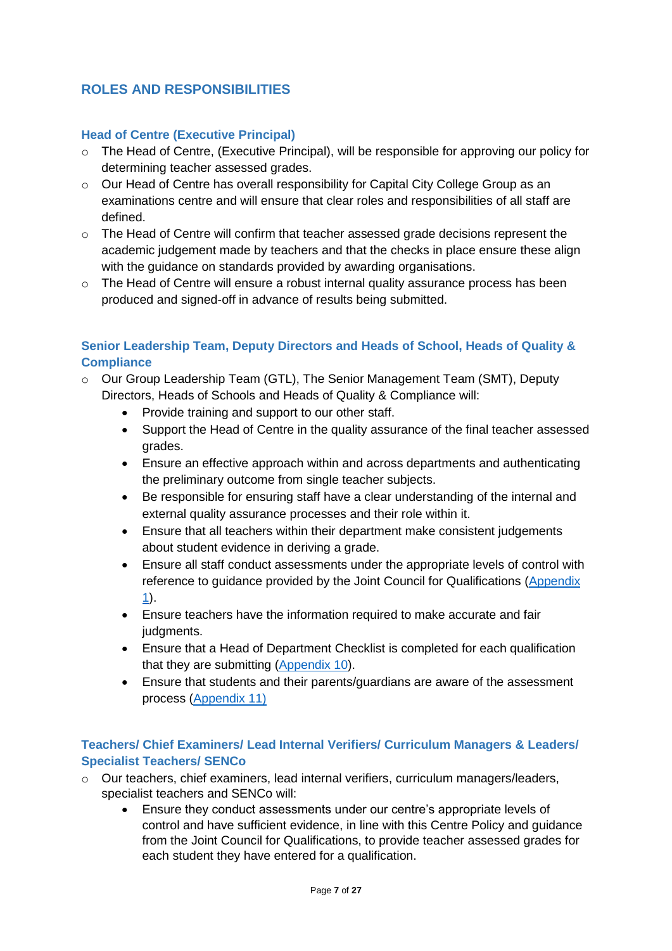## <span id="page-6-0"></span>**ROLES AND RESPONSIBILITIES**

#### <span id="page-6-1"></span>**Head of Centre (Executive Principal)**

- o The Head of Centre, (Executive Principal), will be responsible for approving our policy for determining teacher assessed grades.
- o Our Head of Centre has overall responsibility for Capital City College Group as an examinations centre and will ensure that clear roles and responsibilities of all staff are defined.
- o The Head of Centre will confirm that teacher assessed grade decisions represent the academic judgement made by teachers and that the checks in place ensure these align with the guidance on standards provided by awarding organisations.
- o The Head of Centre will ensure a robust internal quality assurance process has been produced and signed-off in advance of results being submitted.

#### <span id="page-6-2"></span>**Senior Leadership Team, Deputy Directors and Heads of School, Heads of Quality & Compliance**

- o Our Group Leadership Team (GTL), The Senior Management Team (SMT), Deputy Directors, Heads of Schools and Heads of Quality & Compliance will:
	- Provide training and support to our other staff.
	- Support the Head of Centre in the quality assurance of the final teacher assessed grades.
	- Ensure an effective approach within and across departments and authenticating the preliminary outcome from single teacher subjects.
	- Be responsible for ensuring staff have a clear understanding of the internal and external quality assurance processes and their role within it.
	- Ensure that all teachers within their department make consistent judgements about student evidence in deriving a grade.
	- Ensure all staff conduct assessments under the appropriate levels of control with reference to guidance provided by the Joint Council for Qualifications [\(Appendix](https://fecollegeslondon.sharepoint.com/:b:/r/sites/centralservices/Quality/Teacher%20Assessed%20Grade%202021/3.%20CCCG%20Documents/CCCG%20TAG%20Policy/2.%20Appendix_1_JCQ-Guidance-on-the-Determination-of-Grades-for-A-AS-Levels-and-GCSEs-Summer-2021%20(1).pdf?csf=1&web=1&e=JyJdf6)  [1\)](https://fecollegeslondon.sharepoint.com/:b:/r/sites/centralservices/Quality/Teacher%20Assessed%20Grade%202021/3.%20CCCG%20Documents/CCCG%20TAG%20Policy/2.%20Appendix_1_JCQ-Guidance-on-the-Determination-of-Grades-for-A-AS-Levels-and-GCSEs-Summer-2021%20(1).pdf?csf=1&web=1&e=JyJdf6).
	- Ensure teachers have the information required to make accurate and fair judgments.
	- Ensure that a Head of Department Checklist is completed for each qualification that they are submitting [\(Appendix 10\)](https://fecollegeslondon.sharepoint.com/:w:/r/sites/centralservices/Quality/Teacher%20Assessed%20Grade%202021/3.%20CCCG%20Documents/CCCG%20TAG%20Policy/11.%20Appendix%2010-JCQ-Guidance-Head-of-Department-checklist.docx?d=web916d42ae0c42edaa2137ee1c5b1648&csf=1&web=1&e=hh105O).
	- Ensure that students and their parents/guardians are aware of the assessment process [\(Appendix 11\)](https://fecollegeslondon.sharepoint.com/:b:/r/sites/centralservices/Quality/Teacher%20Assessed%20Grade%202021/3.%20CCCG%20Documents/CCCG%20TAG%20Policy/12.%20Appendix-11-JCQ-Guidance-for-Students-and-Parents-on-Summer-2021.pdf?csf=1&web=1&e=lWv3LK)

#### <span id="page-6-3"></span>**Teachers/ Chief Examiners/ Lead Internal Verifiers/ Curriculum Managers & Leaders/ Specialist Teachers/ SENCo**

- $\circ$  Our teachers, chief examiners, lead internal verifiers, curriculum managers/leaders, specialist teachers and SENCo will:
	- Ensure they conduct assessments under our centre's appropriate levels of control and have sufficient evidence, in line with this Centre Policy and guidance from the Joint Council for Qualifications, to provide teacher assessed grades for each student they have entered for a qualification.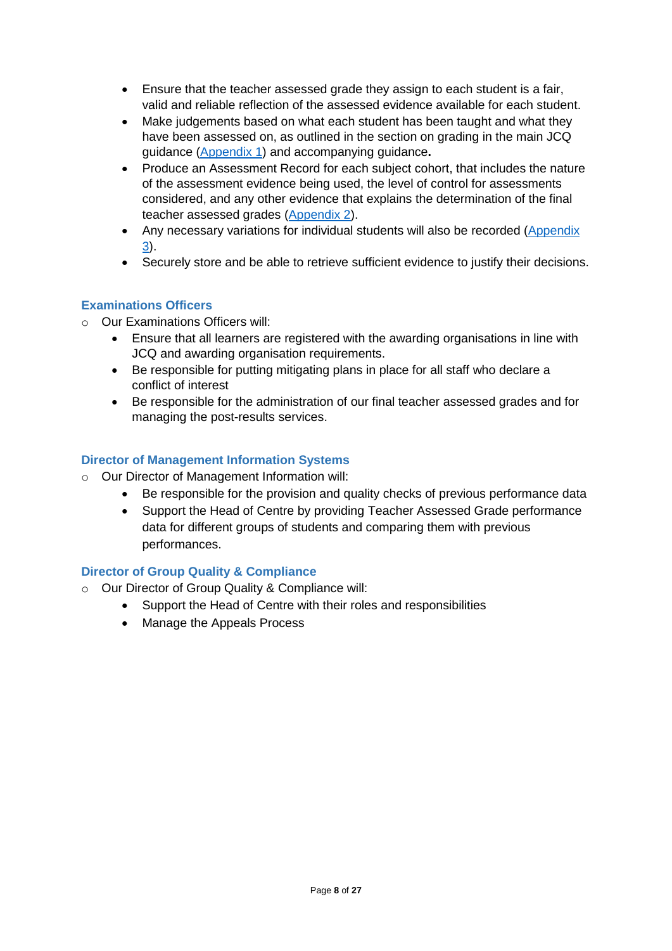- Ensure that the teacher assessed grade they assign to each student is a fair, valid and reliable reflection of the assessed evidence available for each student.
- Make judgements based on what each student has been taught and what they have been assessed on, as outlined in the section on grading in the main JCQ guidance [\(Appendix 1\)](https://fecollegeslondon.sharepoint.com/:b:/r/sites/centralservices/Quality/Teacher%20Assessed%20Grade%202021/3.%20CCCG%20Documents/CCCG%20TAG%20Policy/2.%20Appendix_1_JCQ-Guidance-on-the-Determination-of-Grades-for-A-AS-Levels-and-GCSEs-Summer-2021%20(1).pdf?csf=1&web=1&e=JyJdf6) and accompanying guidance**.**
- Produce an Assessment Record for each subject cohort, that includes the nature of the assessment evidence being used, the level of control for assessments considered, and any other evidence that explains the determination of the final teacher assessed grades [\(Appendix 2\)](https://fecollegeslondon.sharepoint.com/:w:/r/sites/centralservices/Quality/Teacher%20Assessed%20Grade%202021/3.%20CCCG%20Documents/CCCG%20TAG%20Policy/3.%20Appendix_2_Summer-2021-JCQ-Guidance-Assessment-Evidence-Form-template.docx?d=we51bd7c973d94917b7178fe99ea09480&csf=1&web=1&e=fawxlj).
- Any necessary variations for individual students will also be recorded [\(Appendix](https://fecollegeslondon.sharepoint.com/:w:/r/sites/centralservices/Quality/Teacher%20Assessed%20Grade%202021/3.%20CCCG%20Documents/CCCG%20TAG%20Policy/4.%20Appendix_%203_Summer-2021-JCQ-Guidance-Assessment-Record-Variations%20for%20Individual%20Students.docx?d=waf5316a6646541b7a77d1744582036da&csf=1&web=1&e=Ld6RhV) [3\)](https://fecollegeslondon.sharepoint.com/:w:/r/sites/centralservices/Quality/Teacher%20Assessed%20Grade%202021/3.%20CCCG%20Documents/CCCG%20TAG%20Policy/4.%20Appendix_%203_Summer-2021-JCQ-Guidance-Assessment-Record-Variations%20for%20Individual%20Students.docx?d=waf5316a6646541b7a77d1744582036da&csf=1&web=1&e=Ld6RhV).
- Securely store and be able to retrieve sufficient evidence to justify their decisions.

#### <span id="page-7-0"></span>**Examinations Officers**

- o Our Examinations Officers will:
	- Ensure that all learners are registered with the awarding organisations in line with JCQ and awarding organisation requirements.
	- Be responsible for putting mitigating plans in place for all staff who declare a conflict of interest
	- Be responsible for the administration of our final teacher assessed grades and for managing the post-results services.

#### <span id="page-7-1"></span>**Director of Management Information Systems**

- o Our Director of Management Information will:
	- Be responsible for the provision and quality checks of previous performance data
	- Support the Head of Centre by providing Teacher Assessed Grade performance data for different groups of students and comparing them with previous performances.

## <span id="page-7-2"></span>**Director of Group Quality & Compliance**

- o Our Director of Group Quality & Compliance will:
	- Support the Head of Centre with their roles and responsibilities
	- Manage the Appeals Process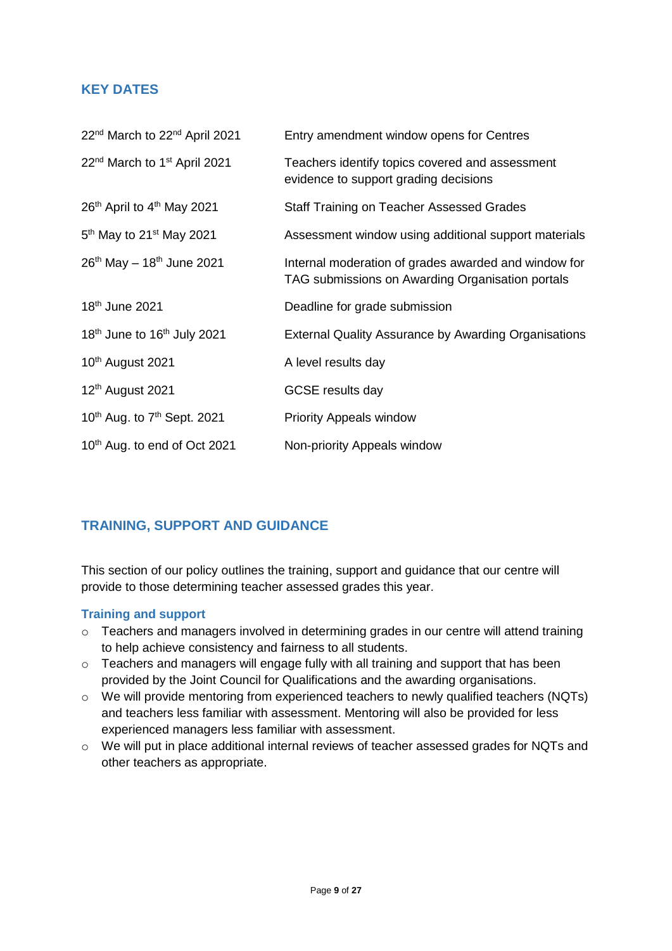## <span id="page-8-0"></span>**KEY DATES**

| 22 <sup>nd</sup> March to 22 <sup>nd</sup> April 2021 | Entry amendment window opens for Centres                                                                 |
|-------------------------------------------------------|----------------------------------------------------------------------------------------------------------|
| 22 <sup>nd</sup> March to 1 <sup>st</sup> April 2021  | Teachers identify topics covered and assessment<br>evidence to support grading decisions                 |
| 26 <sup>th</sup> April to 4 <sup>th</sup> May 2021    | <b>Staff Training on Teacher Assessed Grades</b>                                                         |
| $5th$ May to 21 <sup>st</sup> May 2021                | Assessment window using additional support materials                                                     |
| $26th$ May - 18 <sup>th</sup> June 2021               | Internal moderation of grades awarded and window for<br>TAG submissions on Awarding Organisation portals |
| 18 <sup>th</sup> June 2021                            | Deadline for grade submission                                                                            |
| 18 <sup>th</sup> June to 16 <sup>th</sup> July 2021   | <b>External Quality Assurance by Awarding Organisations</b>                                              |
| 10 <sup>th</sup> August 2021                          | A level results day                                                                                      |
| 12 <sup>th</sup> August 2021                          | <b>GCSE</b> results day                                                                                  |
| $10^{th}$ Aug. to $7^{th}$ Sept. 2021                 | <b>Priority Appeals window</b>                                                                           |
| 10 <sup>th</sup> Aug. to end of Oct 2021              | Non-priority Appeals window                                                                              |

## <span id="page-8-1"></span>**TRAINING, SUPPORT AND GUIDANCE**

This section of our policy outlines the training, support and guidance that our centre will provide to those determining teacher assessed grades this year.

#### <span id="page-8-2"></span>**Training and support**

- o Teachers and managers involved in determining grades in our centre will attend training to help achieve consistency and fairness to all students.
- o Teachers and managers will engage fully with all training and support that has been provided by the Joint Council for Qualifications and the awarding organisations.
- o We will provide mentoring from experienced teachers to newly qualified teachers (NQTs) and teachers less familiar with assessment. Mentoring will also be provided for less experienced managers less familiar with assessment.
- o We will put in place additional internal reviews of teacher assessed grades for NQTs and other teachers as appropriate.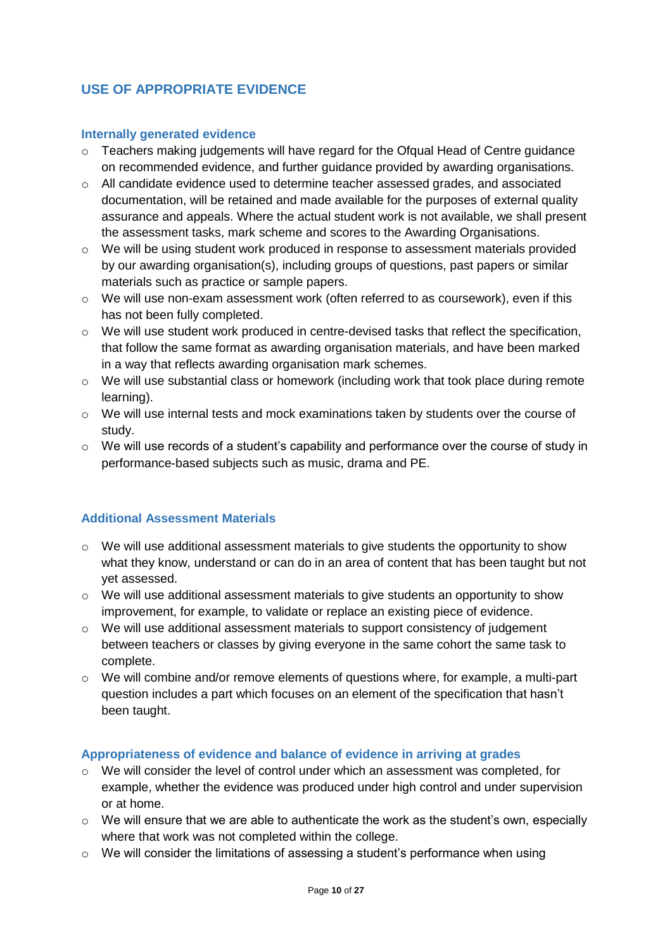## <span id="page-9-0"></span>**USE OF APPROPRIATE EVIDENCE**

#### <span id="page-9-1"></span>**Internally generated evidence**

- o Teachers making judgements will have regard for the Ofqual Head of Centre guidance on recommended evidence, and further guidance provided by awarding organisations.
- $\circ$  All candidate evidence used to determine teacher assessed grades, and associated documentation, will be retained and made available for the purposes of external quality assurance and appeals. Where the actual student work is not available, we shall present the assessment tasks, mark scheme and scores to the Awarding Organisations.
- o We will be using student work produced in response to assessment materials provided by our awarding organisation(s), including groups of questions, past papers or similar materials such as practice or sample papers.
- $\circ$  We will use non-exam assessment work (often referred to as coursework), even if this has not been fully completed.
- $\circ$  We will use student work produced in centre-devised tasks that reflect the specification, that follow the same format as awarding organisation materials, and have been marked in a way that reflects awarding organisation mark schemes.
- $\circ$  We will use substantial class or homework (including work that took place during remote learning).
- $\circ$  We will use internal tests and mock examinations taken by students over the course of study.
- $\circ$  We will use records of a student's capability and performance over the course of study in performance-based subjects such as music, drama and PE.

#### <span id="page-9-2"></span>**Additional Assessment Materials**

- o We will use additional assessment materials to give students the opportunity to show what they know, understand or can do in an area of content that has been taught but not yet assessed.
- o We will use additional assessment materials to give students an opportunity to show improvement, for example, to validate or replace an existing piece of evidence.
- $\circ$  We will use additional assessment materials to support consistency of judgement between teachers or classes by giving everyone in the same cohort the same task to complete.
- $\circ$  We will combine and/or remove elements of questions where, for example, a multi-part question includes a part which focuses on an element of the specification that hasn't been taught.

#### <span id="page-9-3"></span>**Appropriateness of evidence and balance of evidence in arriving at grades**

- o We will consider the level of control under which an assessment was completed, for example, whether the evidence was produced under high control and under supervision or at home.
- o We will ensure that we are able to authenticate the work as the student's own, especially where that work was not completed within the college.
- o We will consider the limitations of assessing a student's performance when using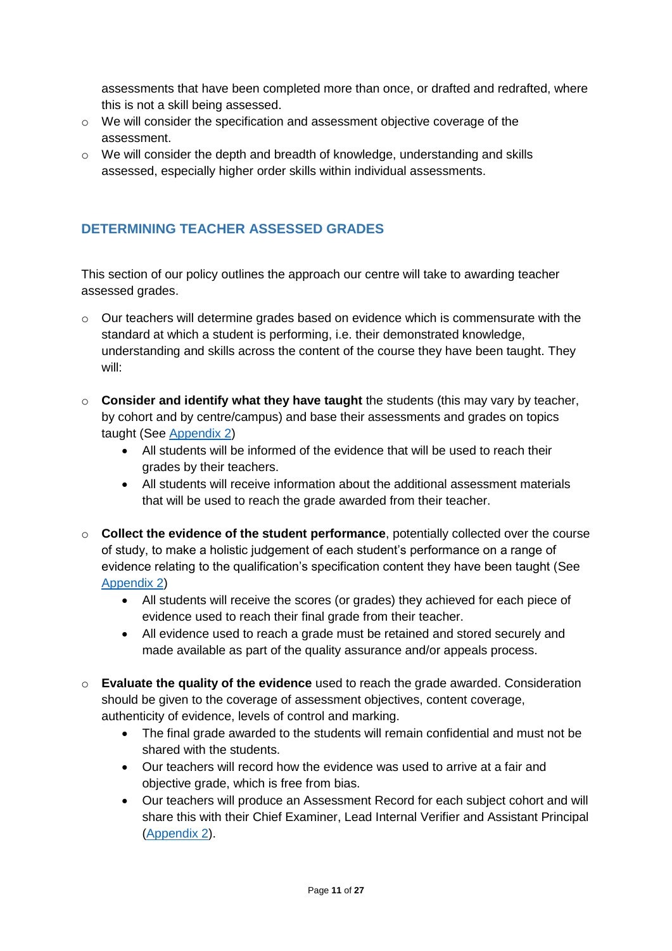assessments that have been completed more than once, or drafted and redrafted, where this is not a skill being assessed.

- $\circ$  We will consider the specification and assessment objective coverage of the assessment.
- o We will consider the depth and breadth of knowledge, understanding and skills assessed, especially higher order skills within individual assessments.

## <span id="page-10-0"></span>**DETERMINING TEACHER ASSESSED GRADES**

This section of our policy outlines the approach our centre will take to awarding teacher assessed grades.

- $\circ$  Our teachers will determine grades based on evidence which is commensurate with the standard at which a student is performing, i.e. their demonstrated knowledge, understanding and skills across the content of the course they have been taught. They will:
- o **Consider and identify what they have taught** the students (this may vary by teacher, by cohort and by centre/campus) and base their assessments and grades on topics taught (See [Appendix 2\)](https://fecollegeslondon.sharepoint.com/:w:/r/sites/centralservices/Quality/Teacher%20Assessed%20Grade%202021/3.%20CCCG%20Documents/CCCG%20TAG%20Policy/3.%20Appendix_2_Summer-2021-JCQ-Guidance-Assessment-Evidence-Form-template.docx?d=we51bd7c973d94917b7178fe99ea09480&csf=1&web=1&e=fawxlj)
	- All students will be informed of the evidence that will be used to reach their grades by their teachers.
	- All students will receive information about the additional assessment materials that will be used to reach the grade awarded from their teacher.
- o **Collect the evidence of the student performance**, potentially collected over the course of study, to make a holistic judgement of each student's performance on a range of evidence relating to the qualification's specification content they have been taught (See [Appendix 2\)](https://fecollegeslondon.sharepoint.com/:w:/r/sites/centralservices/Quality/Teacher%20Assessed%20Grade%202021/3.%20CCCG%20Documents/CCCG%20TAG%20Policy/3.%20Appendix_2_Summer-2021-JCQ-Guidance-Assessment-Evidence-Form-template.docx?d=we51bd7c973d94917b7178fe99ea09480&csf=1&web=1&e=fawxlj)
	- All students will receive the scores (or grades) they achieved for each piece of evidence used to reach their final grade from their teacher.
	- All evidence used to reach a grade must be retained and stored securely and made available as part of the quality assurance and/or appeals process.
- o **Evaluate the quality of the evidence** used to reach the grade awarded. Consideration should be given to the coverage of assessment objectives, content coverage, authenticity of evidence, levels of control and marking.
	- The final grade awarded to the students will remain confidential and must not be shared with the students.
	- Our teachers will record how the evidence was used to arrive at a fair and objective grade, which is free from bias.
	- Our teachers will produce an Assessment Record for each subject cohort and will share this with their Chief Examiner, Lead Internal Verifier and Assistant Principal [\(Appendix 2\)](https://fecollegeslondon.sharepoint.com/:w:/r/sites/centralservices/Quality/Teacher%20Assessed%20Grade%202021/3.%20CCCG%20Documents/CCCG%20TAG%20Policy/3.%20Appendix_2_Summer-2021-JCQ-Guidance-Assessment-Evidence-Form-template.docx?d=we51bd7c973d94917b7178fe99ea09480&csf=1&web=1&e=fawxlj).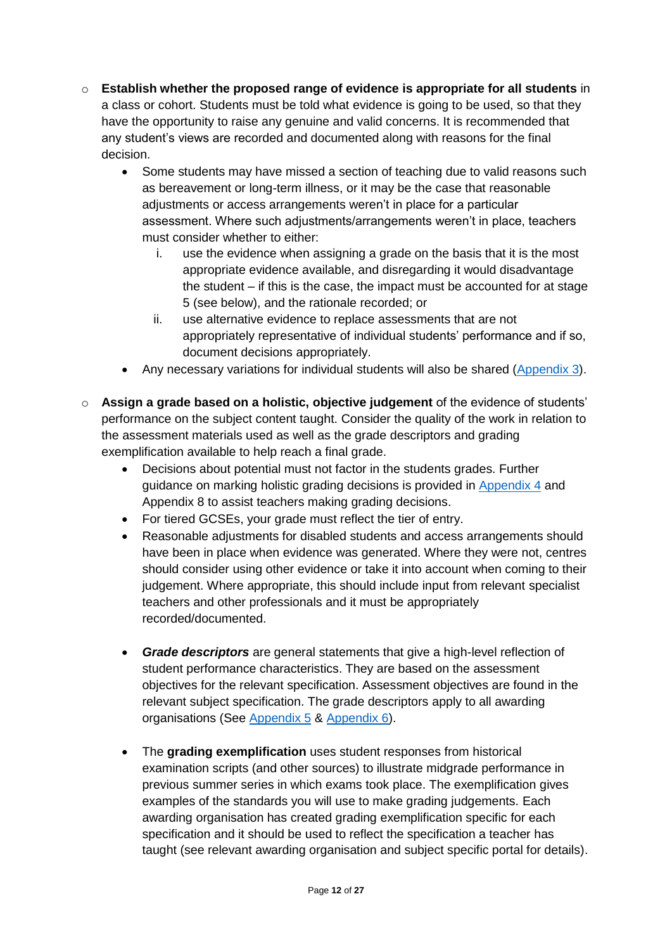- o **Establish whether the proposed range of evidence is appropriate for all students** in a class or cohort. Students must be told what evidence is going to be used, so that they have the opportunity to raise any genuine and valid concerns. It is recommended that any student's views are recorded and documented along with reasons for the final decision.
	- Some students may have missed a section of teaching due to valid reasons such as bereavement or long-term illness, or it may be the case that reasonable adjustments or access arrangements weren't in place for a particular assessment. Where such adjustments/arrangements weren't in place, teachers must consider whether to either:
		- i. use the evidence when assigning a grade on the basis that it is the most appropriate evidence available, and disregarding it would disadvantage the student – if this is the case, the impact must be accounted for at stage 5 (see below), and the rationale recorded; or
		- ii. use alternative evidence to replace assessments that are not appropriately representative of individual students' performance and if so, document decisions appropriately.
	- Any necessary variations for individual students will also be shared [\(Appendix 3\)](https://fecollegeslondon.sharepoint.com/:w:/r/sites/centralservices/Quality/Teacher%20Assessed%20Grade%202021/3.%20CCCG%20Documents/CCCG%20TAG%20Policy/4.%20Appendix_%203_Summer-2021-JCQ-Guidance-Assessment-Record-Variations%20for%20Individual%20Students.docx?d=waf5316a6646541b7a77d1744582036da&csf=1&web=1&e=Ld6RhV).
- o **Assign a grade based on a holistic, objective judgement** of the evidence of students' performance on the subject content taught. Consider the quality of the work in relation to the assessment materials used as well as the grade descriptors and grading exemplification available to help reach a final grade.
	- Decisions about potential must not factor in the students grades. Further guidance on marking holistic grading decisions is provided in [Appendix](https://fecollegeslondon.sharepoint.com/:b:/r/sites/centralservices/Quality/Teacher%20Assessed%20Grade%202021/3.%20CCCG%20Documents/CCCG%20TAG%20Policy/5.%20Appendix_4_Summer-2021-JCQ-Guidance-WorkedExamples.pdf?csf=1&web=1&e=4DrwBu) 4 and Appendix 8 to assist teachers making grading decisions.
	- For tiered GCSEs, your grade must reflect the tier of entry.
	- Reasonable adjustments for disabled students and access arrangements should have been in place when evidence was generated. Where they were not, centres should consider using other evidence or take it into account when coming to their judgement. Where appropriate, this should include input from relevant specialist teachers and other professionals and it must be appropriately recorded/documented.
	- *Grade descriptors* are general statements that give a high-level reflection of student performance characteristics. They are based on the assessment objectives for the relevant specification. Assessment objectives are found in the relevant subject specification. The grade descriptors apply to all awarding organisations (See [Appendix](https://fecollegeslondon.sharepoint.com/:b:/r/sites/centralservices/Quality/Teacher%20Assessed%20Grade%202021/3.%20CCCG%20Documents/CCCG%20TAG%20Policy/6.%20Appendix_5_Summer-2021-Grade-Descriptors-A-AS-Levels.pdf?csf=1&web=1&e=C4dWFr) 5 & [Appendix 6\)](https://fecollegeslondon.sharepoint.com/:b:/r/sites/centralservices/Quality/Teacher%20Assessed%20Grade%202021/3.%20CCCG%20Documents/CCCG%20TAG%20Policy/7.%20Appendix_6_Summer-2021-Grade-Descriptors-GCSE.pdf?csf=1&web=1&e=KsGeJ9).
	- The **grading exemplification** uses student responses from historical examination scripts (and other sources) to illustrate midgrade performance in previous summer series in which exams took place. The exemplification gives examples of the standards you will use to make grading judgements. Each awarding organisation has created grading exemplification specific for each specification and it should be used to reflect the specification a teacher has taught (see relevant awarding organisation and subject specific portal for details).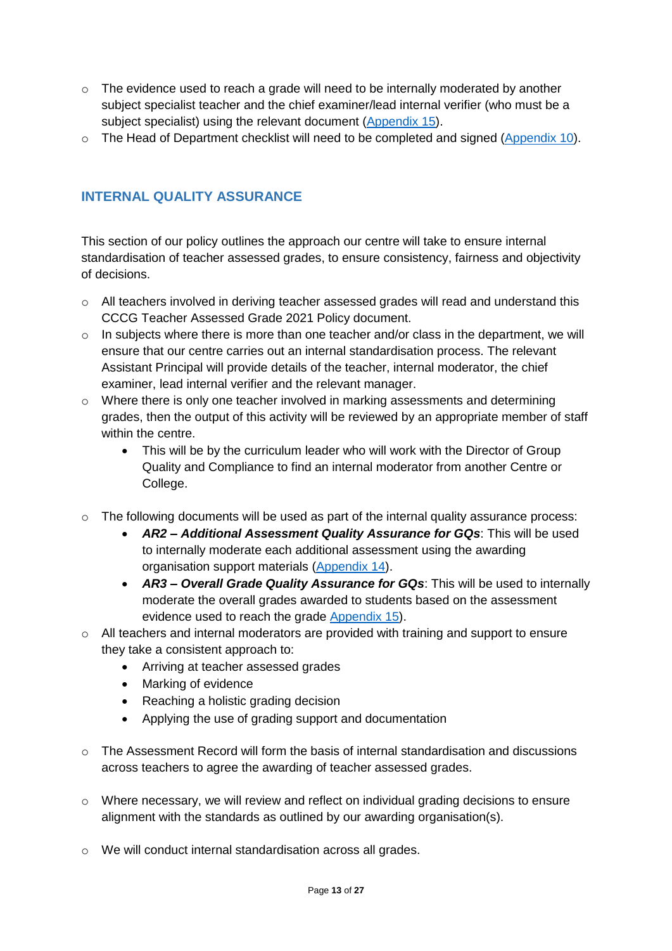- $\circ$  The evidence used to reach a grade will need to be internally moderated by another subject specialist teacher and the chief examiner/lead internal verifier (who must be a subject specialist) using the relevant document [\(Appendix 15\)](https://fecollegeslondon.sharepoint.com/:w:/r/sites/centralservices/Quality/Teacher%20Assessed%20Grade%202021/3.%20CCCG%20Documents/CCCG%20TAG%20Policy/16.%20Appendix%2015_AR3_Overall%20Grade%20Quality%20Assurance%20for%20GQs.docx?d=w64e6e2427bec4e34b2b608af0b28299d&csf=1&web=1&e=ovzlQO).
- o The Head of Department checklist will need to be completed and signed [\(Appendix 10\)](https://fecollegeslondon.sharepoint.com/:w:/r/sites/centralservices/Quality/Teacher%20Assessed%20Grade%202021/3.%20CCCG%20Documents/CCCG%20TAG%20Policy/11.%20Appendix%2010-JCQ-Guidance-Head-of-Department-checklist.docx?d=web916d42ae0c42edaa2137ee1c5b1648&csf=1&web=1&e=hh105O).

## <span id="page-12-0"></span>**INTERNAL QUALITY ASSURANCE**

This section of our policy outlines the approach our centre will take to ensure internal standardisation of teacher assessed grades, to ensure consistency, fairness and objectivity of decisions.

- o All teachers involved in deriving teacher assessed grades will read and understand this CCCG Teacher Assessed Grade 2021 Policy document.
- $\circ$  In subjects where there is more than one teacher and/or class in the department, we will ensure that our centre carries out an internal standardisation process. The relevant Assistant Principal will provide details of the teacher, internal moderator, the chief examiner, lead internal verifier and the relevant manager.
- o Where there is only one teacher involved in marking assessments and determining grades, then the output of this activity will be reviewed by an appropriate member of staff within the centre.
	- This will be by the curriculum leader who will work with the Director of Group Quality and Compliance to find an internal moderator from another Centre or College.
- $\circ$  The following documents will be used as part of the internal quality assurance process:
	- *AR2 – Additional Assessment Quality Assurance for GQs*: This will be used to internally moderate each additional assessment using the awarding organisation support materials [\(Appendix 14\)](https://fecollegeslondon.sharepoint.com/:w:/r/sites/centralservices/Quality/Teacher%20Assessed%20Grade%202021/3.%20CCCG%20Documents/CCCG%20TAG%20Policy/15.%20Appendix_14_AR2_Additional%20Assessment%20Quality%20Assurance%20for%20GQs.docx?d=wdb1956c4396b4f72831edc99f57fae7c&csf=1&web=1&e=3pB1Ea).
	- *AR3 – Overall Grade Quality Assurance for GQs*: This will be used to internally moderate the overall grades awarded to students based on the assessment evidence used to reach the grade [Appendix 15\)](https://fecollegeslondon.sharepoint.com/:w:/r/sites/centralservices/Quality/Teacher%20Assessed%20Grade%202021/3.%20CCCG%20Documents/CCCG%20TAG%20Policy/16.%20Appendix%2015_AR3_Overall%20Grade%20Quality%20Assurance%20for%20GQs.docx?d=w64e6e2427bec4e34b2b608af0b28299d&csf=1&web=1&e=ovzlQO).
- o All teachers and internal moderators are provided with training and support to ensure they take a consistent approach to:
	- Arriving at teacher assessed grades
	- Marking of evidence
	- Reaching a holistic grading decision
	- Applying the use of grading support and documentation
- $\circ$  The Assessment Record will form the basis of internal standardisation and discussions across teachers to agree the awarding of teacher assessed grades.
- $\circ$  Where necessary, we will review and reflect on individual grading decisions to ensure alignment with the standards as outlined by our awarding organisation(s).
- o We will conduct internal standardisation across all grades.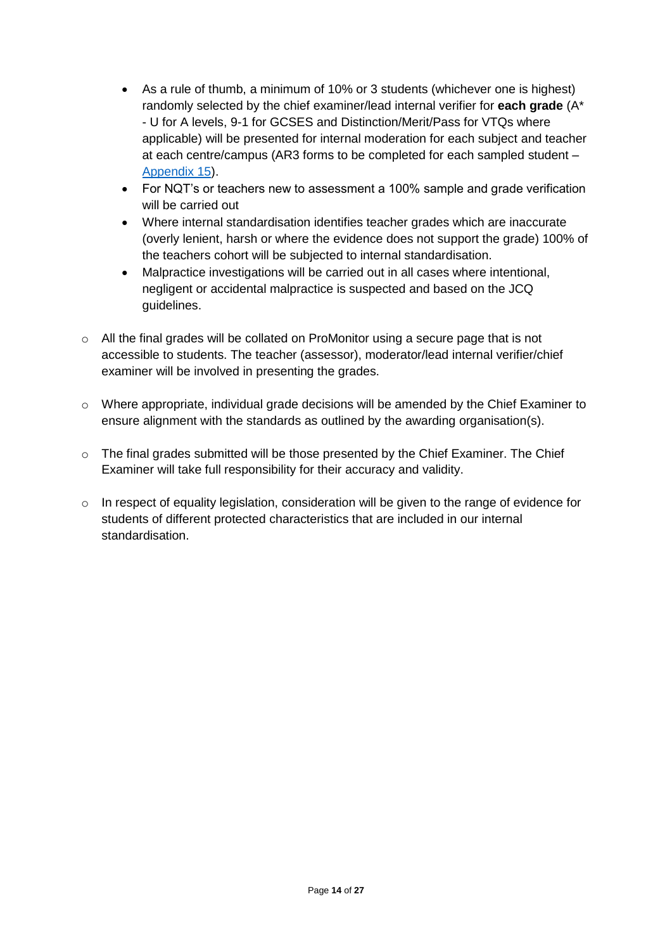- As a rule of thumb, a minimum of 10% or 3 students (whichever one is highest) randomly selected by the chief examiner/lead internal verifier for **each grade** (A\* - U for A levels, 9-1 for GCSES and Distinction/Merit/Pass for VTQs where applicable) will be presented for internal moderation for each subject and teacher at each centre/campus (AR3 forms to be completed for each sampled student – [Appendix 15\)](https://fecollegeslondon.sharepoint.com/:w:/r/sites/centralservices/Quality/Teacher%20Assessed%20Grade%202021/3.%20CCCG%20Documents/CCCG%20TAG%20Policy/16.%20Appendix%2015_AR3_Overall%20Grade%20Quality%20Assurance%20for%20GQs.docx?d=w64e6e2427bec4e34b2b608af0b28299d&csf=1&web=1&e=ovzlQO).
- For NQT's or teachers new to assessment a 100% sample and grade verification will be carried out
- Where internal standardisation identifies teacher grades which are inaccurate (overly lenient, harsh or where the evidence does not support the grade) 100% of the teachers cohort will be subjected to internal standardisation.
- Malpractice investigations will be carried out in all cases where intentional, negligent or accidental malpractice is suspected and based on the JCQ guidelines.
- o All the final grades will be collated on ProMonitor using a secure page that is not accessible to students. The teacher (assessor), moderator/lead internal verifier/chief examiner will be involved in presenting the grades.
- o Where appropriate, individual grade decisions will be amended by the Chief Examiner to ensure alignment with the standards as outlined by the awarding organisation(s).
- $\circ$  The final grades submitted will be those presented by the Chief Examiner. The Chief Examiner will take full responsibility for their accuracy and validity.
- $\circ$  In respect of equality legislation, consideration will be given to the range of evidence for students of different protected characteristics that are included in our internal standardisation.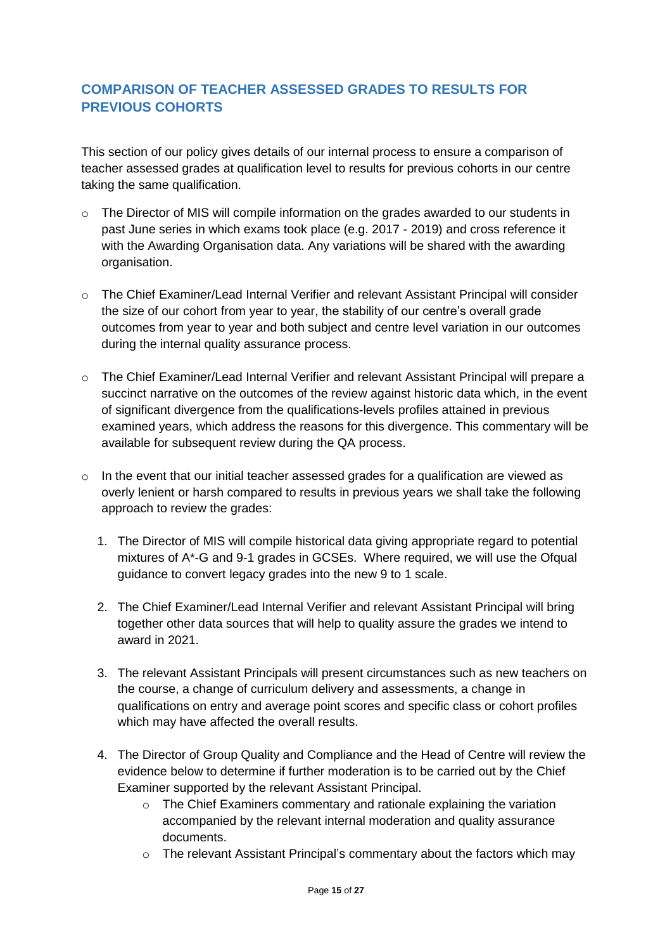## <span id="page-14-0"></span>**COMPARISON OF TEACHER ASSESSED GRADES TO RESULTS FOR PREVIOUS COHORTS**

This section of our policy gives details of our internal process to ensure a comparison of teacher assessed grades at qualification level to results for previous cohorts in our centre taking the same qualification.

- $\circ$  The Director of MIS will compile information on the grades awarded to our students in past June series in which exams took place (e.g. 2017 - 2019) and cross reference it with the Awarding Organisation data. Any variations will be shared with the awarding organisation.
- o The Chief Examiner/Lead Internal Verifier and relevant Assistant Principal will consider the size of our cohort from year to year, the stability of our centre's overall grade outcomes from year to year and both subject and centre level variation in our outcomes during the internal quality assurance process.
- o The Chief Examiner/Lead Internal Verifier and relevant Assistant Principal will prepare a succinct narrative on the outcomes of the review against historic data which, in the event of significant divergence from the qualifications-levels profiles attained in previous examined years, which address the reasons for this divergence. This commentary will be available for subsequent review during the QA process.
- o In the event that our initial teacher assessed grades for a qualification are viewed as overly lenient or harsh compared to results in previous years we shall take the following approach to review the grades:
	- 1. The Director of MIS will compile historical data giving appropriate regard to potential mixtures of A\*-G and 9-1 grades in GCSEs. Where required, we will use the Ofqual guidance to convert legacy grades into the new 9 to 1 scale.
	- 2. The Chief Examiner/Lead Internal Verifier and relevant Assistant Principal will bring together other data sources that will help to quality assure the grades we intend to award in 2021.
	- 3. The relevant Assistant Principals will present circumstances such as new teachers on the course, a change of curriculum delivery and assessments, a change in qualifications on entry and average point scores and specific class or cohort profiles which may have affected the overall results.
	- 4. The Director of Group Quality and Compliance and the Head of Centre will review the evidence below to determine if further moderation is to be carried out by the Chief Examiner supported by the relevant Assistant Principal.
		- o The Chief Examiners commentary and rationale explaining the variation accompanied by the relevant internal moderation and quality assurance documents.
		- o The relevant Assistant Principal's commentary about the factors which may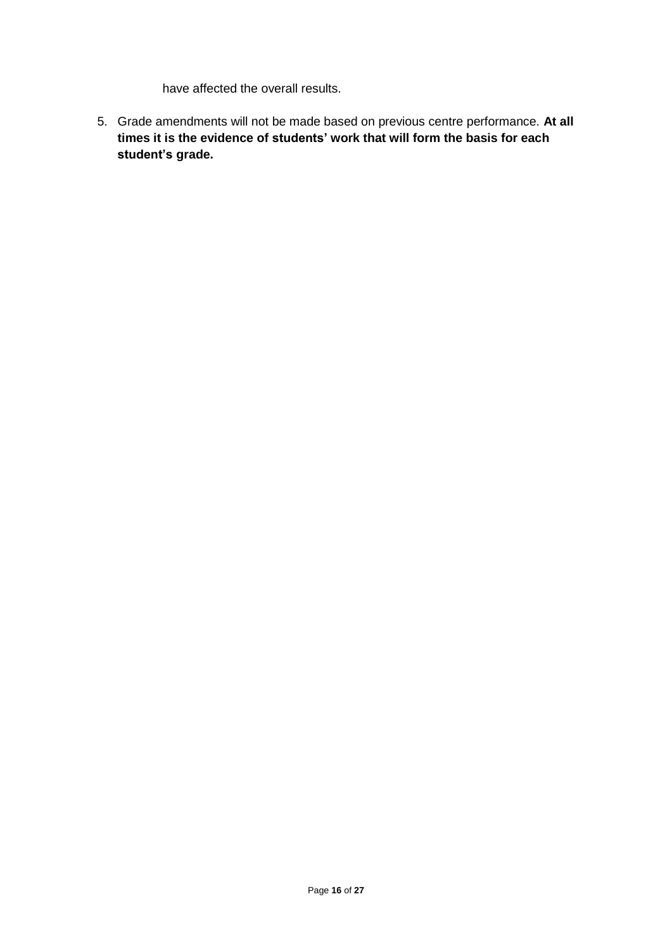have affected the overall results.

5. Grade amendments will not be made based on previous centre performance. **At all times it is the evidence of students' work that will form the basis for each student's grade.**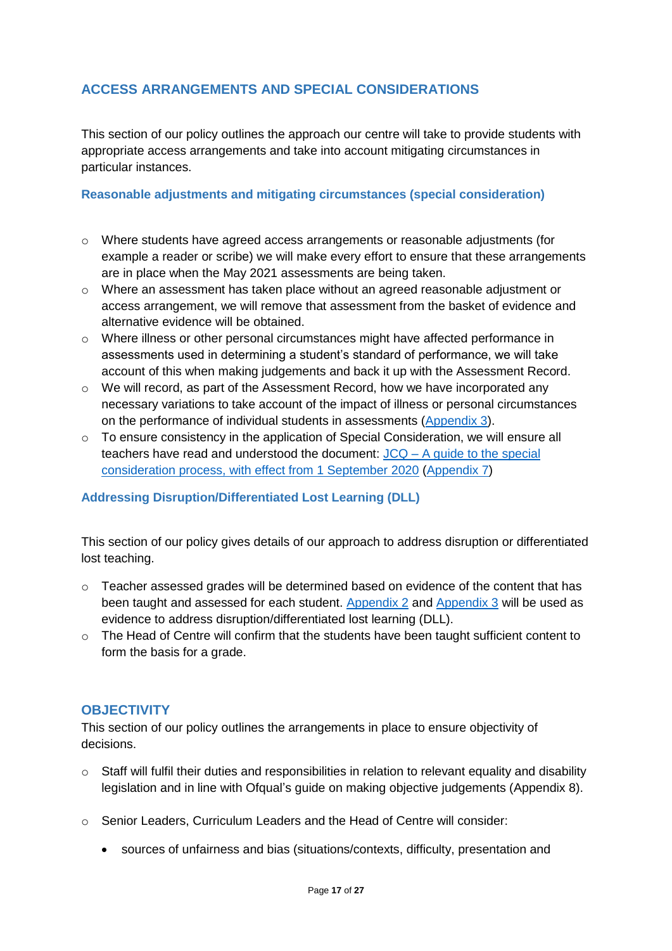## <span id="page-16-0"></span>**ACCESS ARRANGEMENTS AND SPECIAL CONSIDERATIONS**

This section of our policy outlines the approach our centre will take to provide students with appropriate access arrangements and take into account mitigating circumstances in particular instances.

#### <span id="page-16-1"></span>**Reasonable adjustments and mitigating circumstances (special consideration)**

- o Where students have agreed access arrangements or reasonable adjustments (for example a reader or scribe) we will make every effort to ensure that these arrangements are in place when the May 2021 assessments are being taken.
- o Where an assessment has taken place without an agreed reasonable adjustment or access arrangement, we will remove that assessment from the basket of evidence and alternative evidence will be obtained.
- $\circ$  Where illness or other personal circumstances might have affected performance in assessments used in determining a student's standard of performance, we will take account of this when making judgements and back it up with the Assessment Record.
- o We will record, as part of the Assessment Record, how we have incorporated any necessary variations to take account of the impact of illness or personal circumstances on the performance of individual students in assessments [\(Appendix 3\)](https://fecollegeslondon.sharepoint.com/:w:/r/sites/centralservices/Quality/Teacher%20Assessed%20Grade%202021/3.%20CCCG%20Documents/CCCG%20TAG%20Policy/4.%20Appendix_%203_Summer-2021-JCQ-Guidance-Assessment-Record-Variations%20for%20Individual%20Students.docx?d=waf5316a6646541b7a77d1744582036da&csf=1&web=1&e=Ld6RhV).
- $\circ$  To ensure consistency in the application of Special Consideration, we will ensure all teachers have read and understood the document: JCQ – [A guide to the special](https://www.jcq.org.uk/wp-content/uploads/2020/08/A-guide-to-the-spec-con-process-202021-Website-version.pdf)  [consideration process, with effect from 1 September 2020](https://www.jcq.org.uk/wp-content/uploads/2020/08/A-guide-to-the-spec-con-process-202021-Website-version.pdf) [\(Appendix 7\)](https://fecollegeslondon.sharepoint.com/:b:/r/sites/centralservices/Quality/Teacher%20Assessed%20Grade%202021/3.%20CCCG%20Documents/CCCG%20TAG%20Policy/7.%20Appendix_6_Summer-2021-Grade-Descriptors-GCSE.pdf?csf=1&web=1&e=KsGeJ9)

#### <span id="page-16-2"></span>**Addressing Disruption/Differentiated Lost Learning (DLL)**

This section of our policy gives details of our approach to address disruption or differentiated lost teaching.

- $\circ$  Teacher assessed grades will be determined based on evidence of the content that has been taught and assessed for each student. [Appendix](https://fecollegeslondon.sharepoint.com/:w:/r/sites/centralservices/Quality/Teacher%20Assessed%20Grade%202021/3.%20CCCG%20Documents/CCCG%20TAG%20Policy/3.%20Appendix_2_Summer-2021-JCQ-Guidance-Assessment-Evidence-Form-template.docx?d=we51bd7c973d94917b7178fe99ea09480&csf=1&web=1&e=fawxlj) 2 and [Appendix 3](https://fecollegeslondon.sharepoint.com/:w:/r/sites/centralservices/Quality/Teacher%20Assessed%20Grade%202021/3.%20CCCG%20Documents/CCCG%20TAG%20Policy/4.%20Appendix_%203_Summer-2021-JCQ-Guidance-Assessment-Record-Variations%20for%20Individual%20Students.docx?d=waf5316a6646541b7a77d1744582036da&csf=1&web=1&e=Ld6RhV) will be used as evidence to address disruption/differentiated lost learning (DLL).
- o The Head of Centre will confirm that the students have been taught sufficient content to form the basis for a grade.

#### <span id="page-16-3"></span>**OBJECTIVITY**

This section of our policy outlines the arrangements in place to ensure objectivity of decisions.

- o Staff will fulfil their duties and responsibilities in relation to relevant equality and disability legislation and in line with Ofqual's guide on making objective judgements (Appendix 8).
- o Senior Leaders, Curriculum Leaders and the Head of Centre will consider:
	- sources of unfairness and bias (situations/contexts, difficulty, presentation and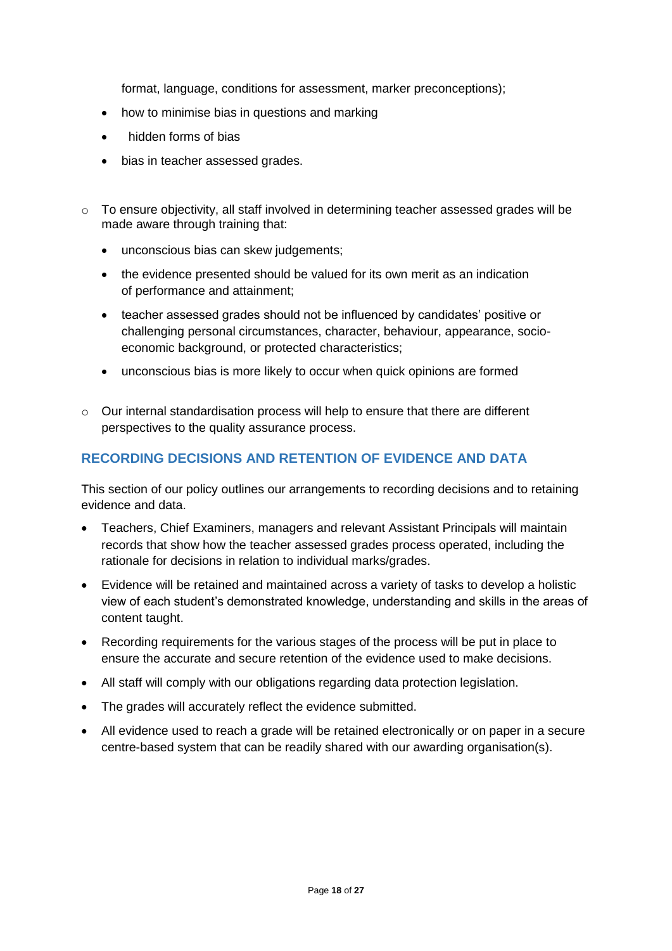format, language, conditions for assessment, marker preconceptions);

- how to minimise bias in questions and marking
- hidden forms of bias
- bias in teacher assessed grades.
- $\circ$  To ensure objectivity, all staff involved in determining teacher assessed grades will be made aware through training that:
	- unconscious bias can skew judgements:
	- the evidence presented should be valued for its own merit as an indication of performance and attainment;
	- teacher assessed grades should not be influenced by candidates' positive or challenging personal circumstances, character, behaviour, appearance, socioeconomic background, or protected characteristics;
	- unconscious bias is more likely to occur when quick opinions are formed
- $\circ$  Our internal standardisation process will help to ensure that there are different perspectives to the quality assurance process.

## <span id="page-17-0"></span>**RECORDING DECISIONS AND RETENTION OF EVIDENCE AND DATA**

This section of our policy outlines our arrangements to recording decisions and to retaining evidence and data.

- Teachers, Chief Examiners, managers and relevant Assistant Principals will maintain records that show how the teacher assessed grades process operated, including the rationale for decisions in relation to individual marks/grades.
- Evidence will be retained and maintained across a variety of tasks to develop a holistic view of each student's demonstrated knowledge, understanding and skills in the areas of content taught.
- Recording requirements for the various stages of the process will be put in place to ensure the accurate and secure retention of the evidence used to make decisions.
- All staff will comply with our obligations regarding data protection legislation.
- The grades will accurately reflect the evidence submitted.
- All evidence used to reach a grade will be retained electronically or on paper in a secure centre-based system that can be readily shared with our awarding organisation(s).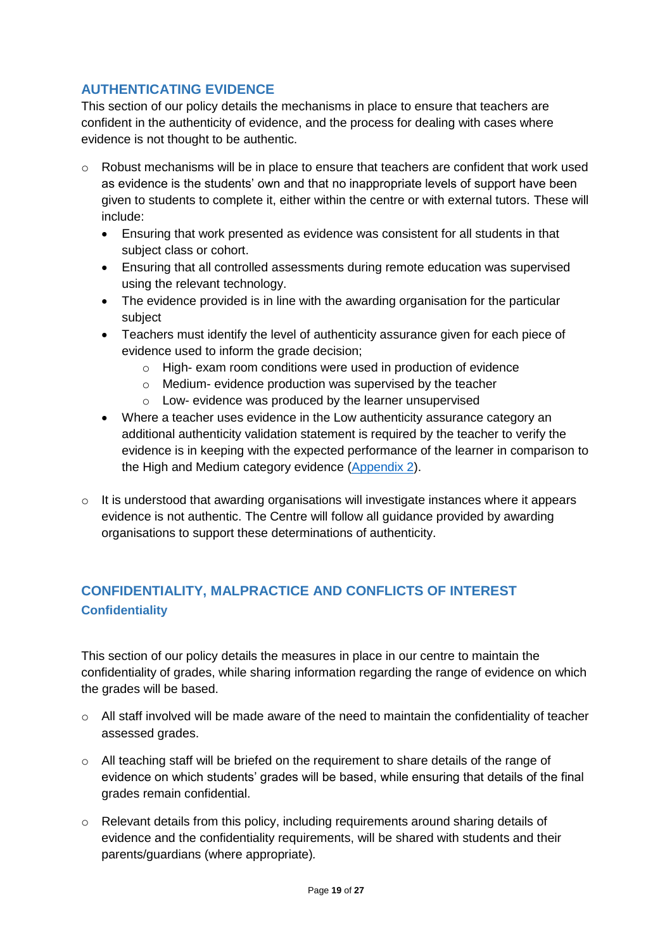## <span id="page-18-0"></span>**AUTHENTICATING EVIDENCE**

This section of our policy details the mechanisms in place to ensure that teachers are confident in the authenticity of evidence, and the process for dealing with cases where evidence is not thought to be authentic.

- o Robust mechanisms will be in place to ensure that teachers are confident that work used as evidence is the students' own and that no inappropriate levels of support have been given to students to complete it, either within the centre or with external tutors. These will include:
	- Ensuring that work presented as evidence was consistent for all students in that subject class or cohort.
	- Ensuring that all controlled assessments during remote education was supervised using the relevant technology.
	- The evidence provided is in line with the awarding organisation for the particular subject
	- Teachers must identify the level of authenticity assurance given for each piece of evidence used to inform the grade decision;
		- o High- exam room conditions were used in production of evidence
		- o Medium- evidence production was supervised by the teacher
		- o Low- evidence was produced by the learner unsupervised
	- Where a teacher uses evidence in the Low authenticity assurance category an additional authenticity validation statement is required by the teacher to verify the evidence is in keeping with the expected performance of the learner in comparison to the High and Medium category evidence [\(Appendix 2\)](https://fecollegeslondon.sharepoint.com/:w:/r/sites/centralservices/Quality/Teacher%20Assessed%20Grade%202021/3.%20CCCG%20Documents/CCCG%20TAG%20Policy/3.%20Appendix_2_Summer-2021-JCQ-Guidance-Assessment-Evidence-Form-template.docx?d=we51bd7c973d94917b7178fe99ea09480&csf=1&web=1&e=fawxlj).
- o It is understood that awarding organisations will investigate instances where it appears evidence is not authentic. The Centre will follow all guidance provided by awarding organisations to support these determinations of authenticity.

## <span id="page-18-2"></span><span id="page-18-1"></span>**CONFIDENTIALITY, MALPRACTICE AND CONFLICTS OF INTEREST Confidentiality**

This section of our policy details the measures in place in our centre to maintain the confidentiality of grades, while sharing information regarding the range of evidence on which the grades will be based.

- $\circ$  All staff involved will be made aware of the need to maintain the confidentiality of teacher assessed grades.
- $\circ$  All teaching staff will be briefed on the requirement to share details of the range of evidence on which students' grades will be based, while ensuring that details of the final grades remain confidential.
- o Relevant details from this policy, including requirements around sharing details of evidence and the confidentiality requirements, will be shared with students and their parents/guardians (where appropriate)*.*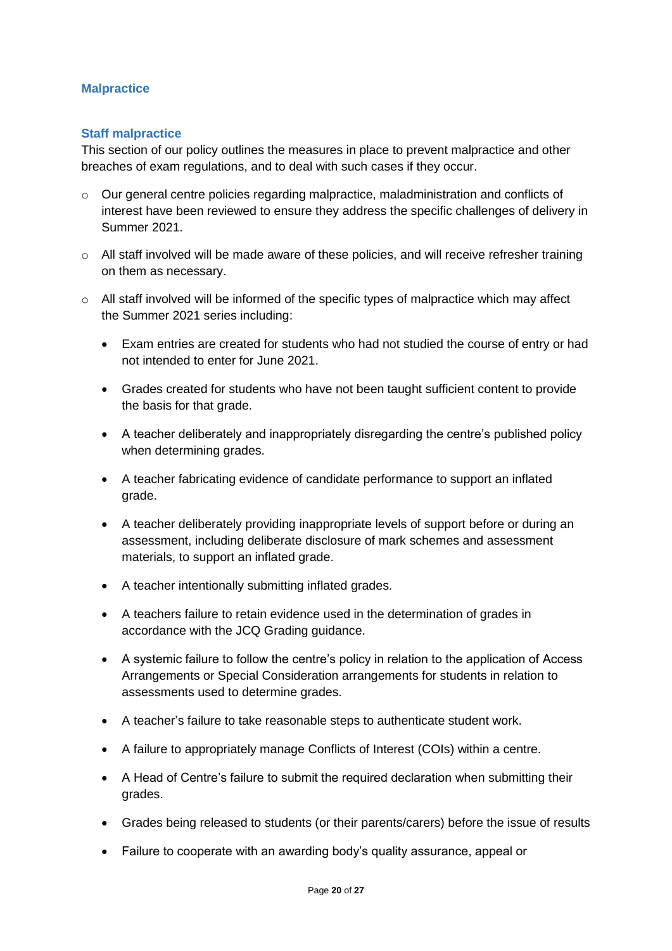#### <span id="page-19-0"></span>**Malpractice**

#### <span id="page-19-1"></span>**Staff malpractice**

This section of our policy outlines the measures in place to prevent malpractice and other breaches of exam regulations, and to deal with such cases if they occur.

- $\circ$  Our general centre policies regarding malpractice, maladministration and conflicts of interest have been reviewed to ensure they address the specific challenges of delivery in Summer 2021.
- $\circ$  All staff involved will be made aware of these policies, and will receive refresher training on them as necessary.
- o All staff involved will be informed of the specific types of malpractice which may affect the Summer 2021 series including:
	- Exam entries are created for students who had not studied the course of entry or had not intended to enter for June 2021.
	- Grades created for students who have not been taught sufficient content to provide the basis for that grade.
	- A teacher deliberately and inappropriately disregarding the centre's published policy when determining grades.
	- A teacher fabricating evidence of candidate performance to support an inflated grade.
	- A teacher deliberately providing inappropriate levels of support before or during an assessment, including deliberate disclosure of mark schemes and assessment materials, to support an inflated grade.
	- A teacher intentionally submitting inflated grades.
	- A teachers failure to retain evidence used in the determination of grades in accordance with the JCQ Grading guidance.
	- A systemic failure to follow the centre's policy in relation to the application of Access Arrangements or Special Consideration arrangements for students in relation to assessments used to determine grades.
	- A teacher's failure to take reasonable steps to authenticate student work.
	- A failure to appropriately manage Conflicts of Interest (COIs) within a centre.
	- A Head of Centre's failure to submit the required declaration when submitting their grades.
	- Grades being released to students (or their parents/carers) before the issue of results
	- Failure to cooperate with an awarding body's quality assurance, appeal or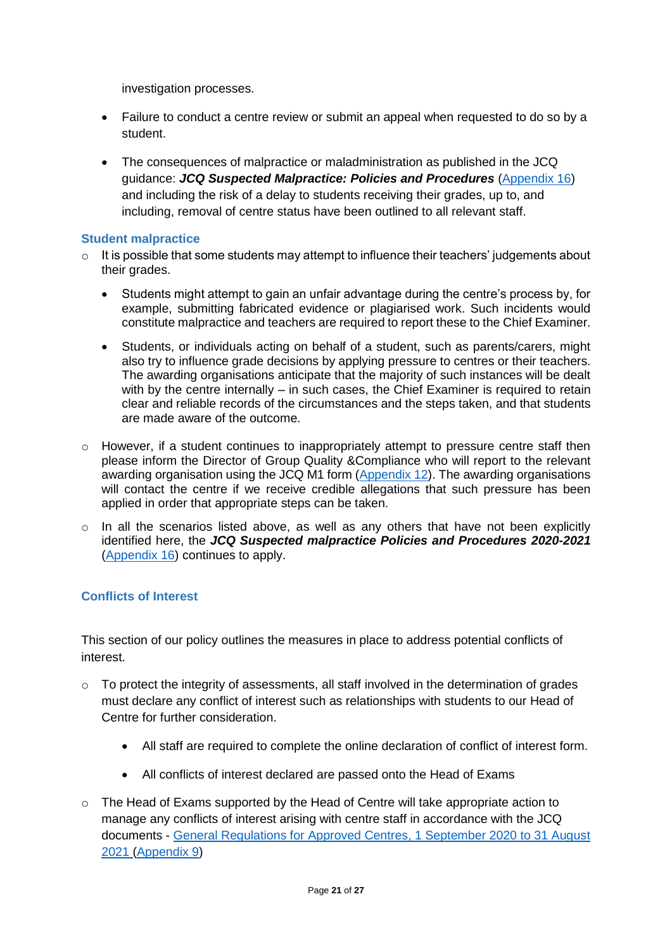investigation processes.

- Failure to conduct a centre review or submit an appeal when requested to do so by a student.
- The consequences of malpractice or maladministration as published in the JCQ guidance: *[JCQ Suspected](https://www.jcq.org.uk/exams-office/malpractice/jcq-suspected-malpractice-policies-and-procedures-2019-2020) Malpractice: Policies and Procedures* [\(Appendix 16\)](https://fecollegeslondon.sharepoint.com/:b:/r/sites/centralservices/Quality/Teacher%20Assessed%20Grade%202021/3.%20CCCG%20Documents/CCCG%20TAG%20Policy/17.%20Appendix_16_JCQ_Malpractice_20-21_v2-1.pdf?csf=1&web=1&e=wlPbeQ) and including the risk of a delay to students receiving their grades, up to, and including, removal of centre status have been outlined to all relevant staff.

#### <span id="page-20-0"></span>**Student malpractice**

- $\circ$  It is possible that some students may attempt to influence their teachers' judgements about their grades.
	- Students might attempt to gain an unfair advantage during the centre's process by, for example, submitting fabricated evidence or plagiarised work. Such incidents would constitute malpractice and teachers are required to report these to the Chief Examiner.
	- Students, or individuals acting on behalf of a student, such as parents/carers, might also try to influence grade decisions by applying pressure to centres or their teachers. The awarding organisations anticipate that the majority of such instances will be dealt with by the centre internally – in such cases, the Chief Examiner is required to retain clear and reliable records of the circumstances and the steps taken, and that students are made aware of the outcome.
- $\circ$  However, if a student continues to inappropriately attempt to pressure centre staff then please inform the Director of Group Quality &Compliance who will report to the relevant awarding organisation using the JCQ M1 form [\(Appendix 12\)](https://fecollegeslondon.sharepoint.com/:w:/r/sites/centralservices/Quality/Teacher%20Assessed%20Grade%202021/3.%20CCCG%20Documents/CCCG%20TAG%20Policy/13.%20Appendix_12_Malpractice-MP-1-Candidate-2019-2020.docx?d=w9915b59de3ad41269f9bb54ad5377de3&csf=1&web=1&e=dxfJlR). The awarding organisations will contact the centre if we receive credible allegations that such pressure has been applied in order that appropriate steps can be taken.
- o In all the scenarios listed above, as well as any others that have not been explicitly identified here, the *JCQ Suspected malpractice Policies and Procedures 2020-2021* [\(Appendix 16\)](https://fecollegeslondon.sharepoint.com/:b:/r/sites/centralservices/Quality/Teacher%20Assessed%20Grade%202021/3.%20CCCG%20Documents/CCCG%20TAG%20Policy/17.%20Appendix_16_JCQ_Malpractice_20-21_v2-1.pdf?csf=1&web=1&e=oggw9Z) continues to apply.

#### <span id="page-20-1"></span>**Conflicts of Interest**

This section of our policy outlines the measures in place to address potential conflicts of interest.

- o To protect the integrity of assessments, all staff involved in the determination of grades must declare any conflict of interest such as relationships with students to our Head of Centre for further consideration.
	- All staff are required to complete the online declaration of conflict of interest form.
	- All conflicts of interest declared are passed onto the Head of Exams
- o The Head of Exams supported by the Head of Centre will take appropriate action to manage any conflicts of interest arising with centre staff in accordance with the JCQ documents - [General Regulations for Approved Centres, 1 September 2020 to 31 August](https://www.jcq.org.uk/wp-content/uploads/2020/09/Gen_regs_approved_centres_20-21_FINAL.pdf)  [2021](https://www.jcq.org.uk/wp-content/uploads/2020/09/Gen_regs_approved_centres_20-21_FINAL.pdf) [\(Appendix 9\)](https://fecollegeslondon.sharepoint.com/:b:/r/sites/centralservices/Quality/Teacher%20Assessed%20Grade%202021/3.%20CCCG%20Documents/CCCG%20TAG%20Policy/10.%20Appendix_9_Gen_regs_approved_centres_20-21_FINAL.pdf?csf=1&web=1&e=mGO0A3)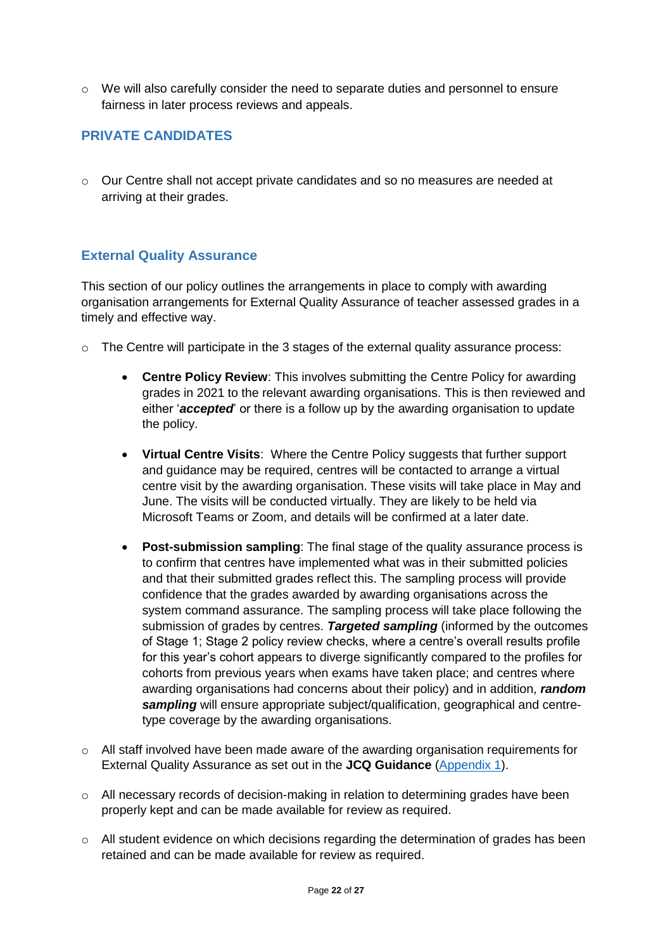o We will also carefully consider the need to separate duties and personnel to ensure fairness in later process reviews and appeals.

## <span id="page-21-0"></span>**PRIVATE CANDIDATES**

o Our Centre shall not accept private candidates and so no measures are needed at arriving at their grades.

#### <span id="page-21-1"></span>**External Quality Assurance**

This section of our policy outlines the arrangements in place to comply with awarding organisation arrangements for External Quality Assurance of teacher assessed grades in a timely and effective way.

- o The Centre will participate in the 3 stages of the external quality assurance process:
	- **Centre Policy Review**: This involves submitting the Centre Policy for awarding grades in 2021 to the relevant awarding organisations. This is then reviewed and either '*accepted*' or there is a follow up by the awarding organisation to update the policy.
	- **Virtual Centre Visits**: Where the Centre Policy suggests that further support and guidance may be required, centres will be contacted to arrange a virtual centre visit by the awarding organisation. These visits will take place in May and June. The visits will be conducted virtually. They are likely to be held via Microsoft Teams or Zoom, and details will be confirmed at a later date.
	- **Post-submission sampling**: The final stage of the quality assurance process is to confirm that centres have implemented what was in their submitted policies and that their submitted grades reflect this. The sampling process will provide confidence that the grades awarded by awarding organisations across the system command assurance. The sampling process will take place following the submission of grades by centres. *Targeted sampling* (informed by the outcomes of Stage 1; Stage 2 policy review checks, where a centre's overall results profile for this year's cohort appears to diverge significantly compared to the profiles for cohorts from previous years when exams have taken place; and centres where awarding organisations had concerns about their policy) and in addition, *random sampling* will ensure appropriate subject/qualification, geographical and centretype coverage by the awarding organisations.
- $\circ$  All staff involved have been made aware of the awarding organisation requirements for External Quality Assurance as set out in the **JCQ Guidance** [\(Appendix 1\)](https://fecollegeslondon.sharepoint.com/:b:/r/sites/centralservices/Quality/Teacher%20Assessed%20Grade%202021/3.%20CCCG%20Documents/CCCG%20TAG%20Policy/2.%20Appendix_1_JCQ-Guidance-on-the-Determination-of-Grades-for-A-AS-Levels-and-GCSEs-Summer-2021%20(1).pdf?csf=1&web=1&e=JyJdf6).
- $\circ$  All necessary records of decision-making in relation to determining grades have been properly kept and can be made available for review as required.
- o All student evidence on which decisions regarding the determination of grades has been retained and can be made available for review as required.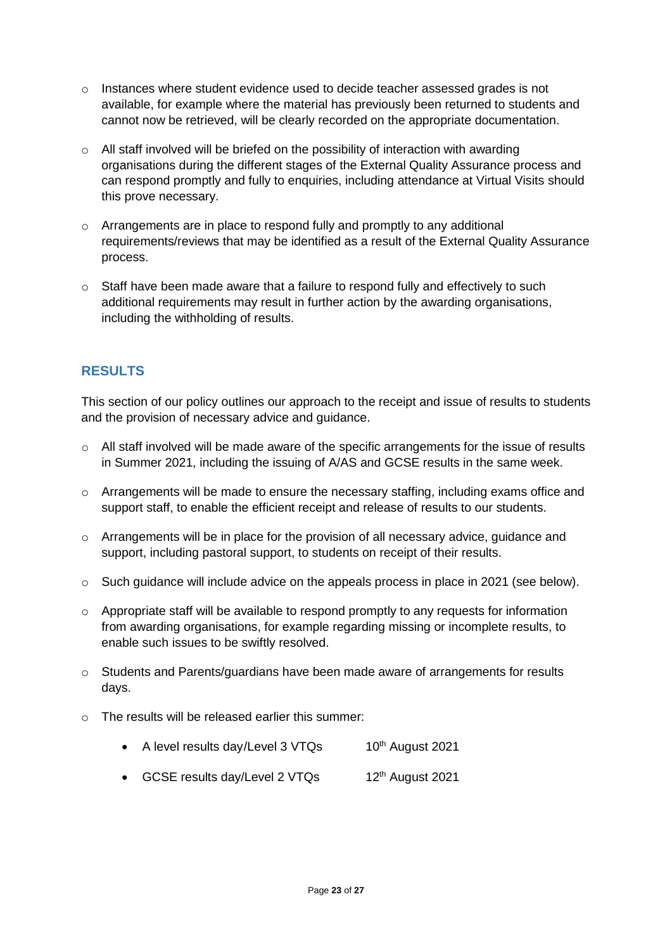- $\circ$  Instances where student evidence used to decide teacher assessed grades is not available, for example where the material has previously been returned to students and cannot now be retrieved, will be clearly recorded on the appropriate documentation.
- $\circ$  All staff involved will be briefed on the possibility of interaction with awarding organisations during the different stages of the External Quality Assurance process and can respond promptly and fully to enquiries, including attendance at Virtual Visits should this prove necessary.
- o Arrangements are in place to respond fully and promptly to any additional requirements/reviews that may be identified as a result of the External Quality Assurance process.
- o Staff have been made aware that a failure to respond fully and effectively to such additional requirements may result in further action by the awarding organisations, including the withholding of results.

## <span id="page-22-0"></span>**RESULTS**

This section of our policy outlines our approach to the receipt and issue of results to students and the provision of necessary advice and guidance.

- $\circ$  All staff involved will be made aware of the specific arrangements for the issue of results in Summer 2021, including the issuing of A/AS and GCSE results in the same week.
- o Arrangements will be made to ensure the necessary staffing, including exams office and support staff, to enable the efficient receipt and release of results to our students.
- o Arrangements will be in place for the provision of all necessary advice, guidance and support, including pastoral support, to students on receipt of their results.
- o Such guidance will include advice on the appeals process in place in 2021 (see below).
- o Appropriate staff will be available to respond promptly to any requests for information from awarding organisations, for example regarding missing or incomplete results, to enable such issues to be swiftly resolved.
- $\circ$  Students and Parents/guardians have been made aware of arrangements for results days.
- o The results will be released earlier this summer:
	- A level results day/Level  $3 \text{ VTQs}$  10<sup>th</sup> August 2021
	- GCSE results day/Level 2 VTQs 12<sup>th</sup> August 2021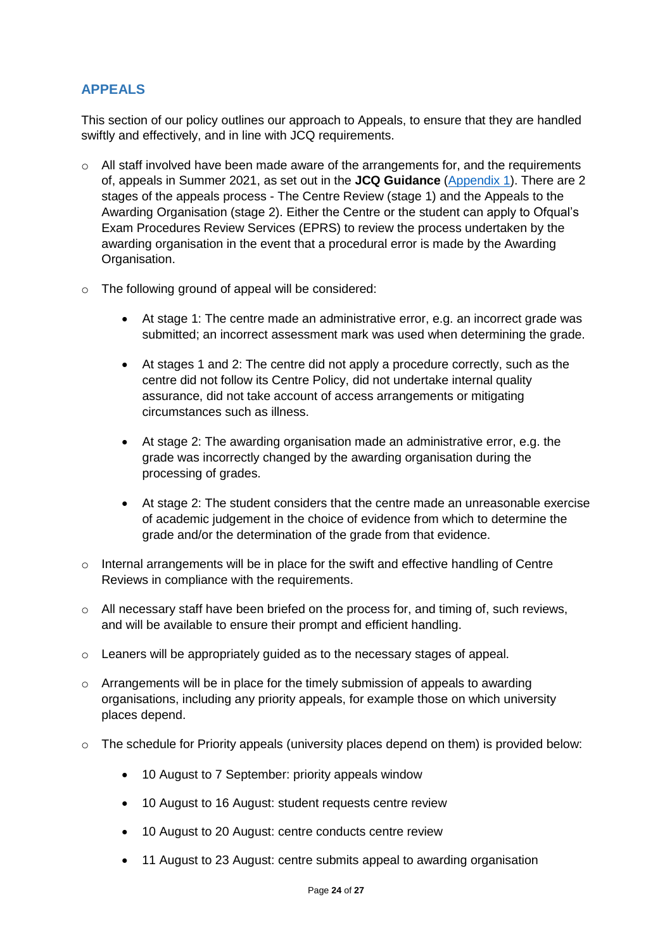#### <span id="page-23-0"></span>**APPEALS**

This section of our policy outlines our approach to Appeals, to ensure that they are handled swiftly and effectively, and in line with JCQ requirements.

- $\circ$  All staff involved have been made aware of the arrangements for, and the requirements of, appeals in Summer 2021, as set out in the **JCQ Guidance** [\(Appendix 1\)](https://fecollegeslondon.sharepoint.com/:b:/r/sites/centralservices/Quality/Teacher%20Assessed%20Grade%202021/3.%20CCCG%20Documents/CCCG%20TAG%20Policy/2.%20Appendix_1_JCQ-Guidance-on-the-Determination-of-Grades-for-A-AS-Levels-and-GCSEs-Summer-2021%20(1).pdf?csf=1&web=1&e=JyJdf6). There are 2 stages of the appeals process - The Centre Review (stage 1) and the Appeals to the Awarding Organisation (stage 2). Either the Centre or the student can apply to Ofqual's Exam Procedures Review Services (EPRS) to review the process undertaken by the awarding organisation in the event that a procedural error is made by the Awarding Organisation.
- o The following ground of appeal will be considered:
	- At stage 1: The centre made an administrative error, e.g. an incorrect grade was submitted; an incorrect assessment mark was used when determining the grade.
	- At stages 1 and 2: The centre did not apply a procedure correctly, such as the centre did not follow its Centre Policy, did not undertake internal quality assurance, did not take account of access arrangements or mitigating circumstances such as illness.
	- At stage 2: The awarding organisation made an administrative error, e.g. the grade was incorrectly changed by the awarding organisation during the processing of grades.
	- At stage 2: The student considers that the centre made an unreasonable exercise of academic judgement in the choice of evidence from which to determine the grade and/or the determination of the grade from that evidence.
- o Internal arrangements will be in place for the swift and effective handling of Centre Reviews in compliance with the requirements.
- o All necessary staff have been briefed on the process for, and timing of, such reviews, and will be available to ensure their prompt and efficient handling.
- o Leaners will be appropriately guided as to the necessary stages of appeal.
- o Arrangements will be in place for the timely submission of appeals to awarding organisations, including any priority appeals, for example those on which university places depend.
- $\circ$  The schedule for Priority appeals (university places depend on them) is provided below:
	- 10 August to 7 September: priority appeals window
	- 10 August to 16 August: student requests centre review
	- 10 August to 20 August: centre conducts centre review
	- 11 August to 23 August: centre submits appeal to awarding organisation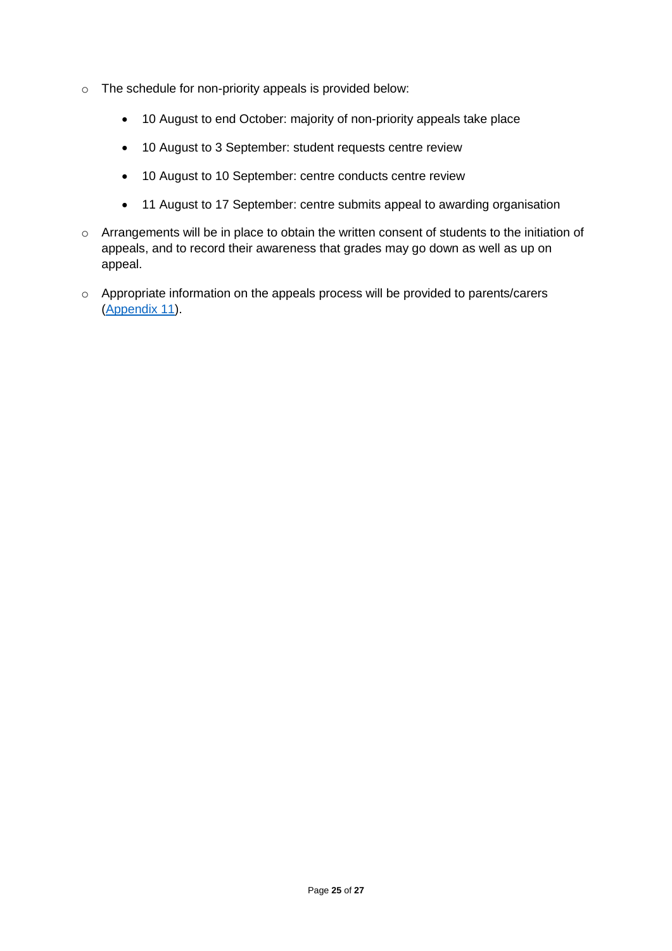- o The schedule for non-priority appeals is provided below:
	- 10 August to end October: majority of non-priority appeals take place
	- 10 August to 3 September: student requests centre review
	- 10 August to 10 September: centre conducts centre review
	- 11 August to 17 September: centre submits appeal to awarding organisation
- o Arrangements will be in place to obtain the written consent of students to the initiation of appeals, and to record their awareness that grades may go down as well as up on appeal.
- o Appropriate information on the appeals process will be provided to parents/carers [\(Appendix 11\)](https://fecollegeslondon.sharepoint.com/:b:/r/sites/centralservices/Quality/Teacher%20Assessed%20Grade%202021/3.%20CCCG%20Documents/CCCG%20TAG%20Policy/12.%20Appendix-11-JCQ-Guidance-for-Students-and-Parents-on-Summer-2021.pdf?csf=1&web=1&e=5hPctw).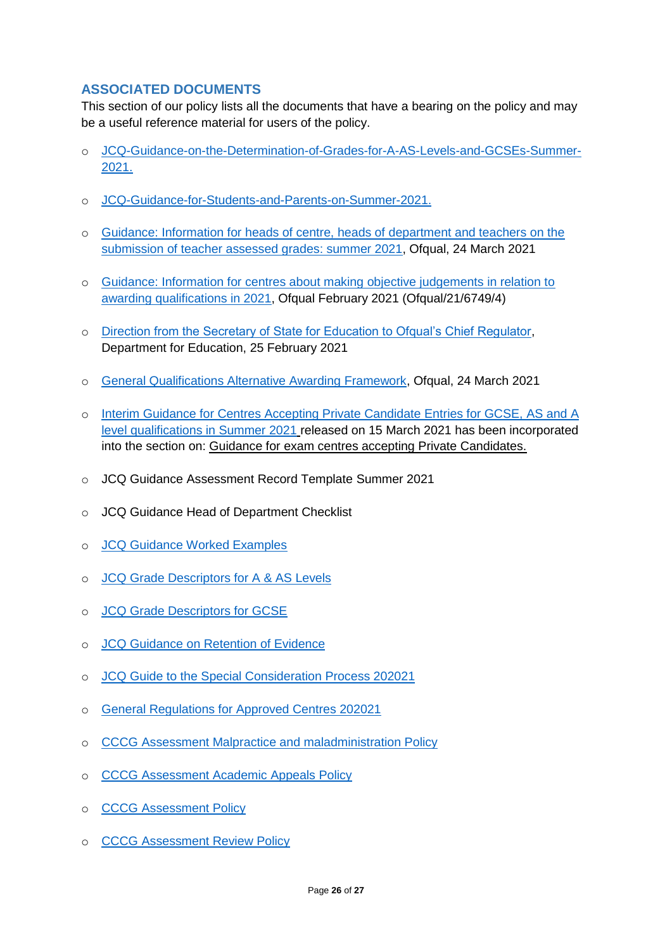## <span id="page-25-0"></span>**ASSOCIATED DOCUMENTS**

This section of our policy lists all the documents that have a bearing on the policy and may be a useful reference material for users of the policy.

- o [JCQ-Guidance-on-the-Determination-of-Grades-for-A-AS-Levels-and-GCSEs-Summer-](https://www.jcq.org.uk/wp-content/uploads/2021/03/JCQ-Guidance-on-the-Determination-of-Grades-for-A-AS-Levels-and-GCSEs-Summer-2021.pdf)[2021.](https://www.jcq.org.uk/wp-content/uploads/2021/03/JCQ-Guidance-on-the-Determination-of-Grades-for-A-AS-Levels-and-GCSEs-Summer-2021.pdf)
- o [JCQ-Guidance-for-Students-and-Parents-on-Summer-2021.](https://www.jcq.org.uk/wp-content/uploads/2021/03/JCQ-Guidance-for-Students-and-Parents-on-Summer-2021.pdf)
- o [Guidance: Information for heads of centre, heads of department and teachers on the](https://www.gov.uk/government/publications/submission-of-teacher-assessed-grades-summer-2021-info-for-teachers/information-for-heads-of-centre-heads-of-department-and-teachers-on-the-submission-of-teacher-assessed-grades-summer-2021-html)  [submission of teacher assessed grades: summer 2021,](https://www.gov.uk/government/publications/submission-of-teacher-assessed-grades-summer-2021-info-for-teachers/information-for-heads-of-centre-heads-of-department-and-teachers-on-the-submission-of-teacher-assessed-grades-summer-2021-html) Ofqual, 24 March 2021
- o [Guidance: Information for centres about making objective judgements in relation to](https://assets.publishing.service.gov.uk/government/uploads/system/uploads/attachment_data/file/970916/6749-4_Information_for_centres_about_making_objective_judgements.pdf)  [awarding qualifications in 2021,](https://assets.publishing.service.gov.uk/government/uploads/system/uploads/attachment_data/file/970916/6749-4_Information_for_centres_about_making_objective_judgements.pdf) Ofqual February 2021 (Ofqual/21/6749/4)
- o [Direction from the Secretary of State for Education to Ofqual's Chief Regulator,](https://www.gov.uk/government/publications/direction-issued-to-ofqual) Department for Education, 25 February 2021
- o [General Qualifications Alternative Awarding Framework,](https://assets.publishing.service.gov.uk/government/uploads/system/uploads/attachment_data/file/972545/6768-3_General_qualificatons_alternative_awarding_framework.pdf) Ofqual, 24 March 2021
- o Interim [Guidance for Centres Accepting Private Candidate Entries for GCSE, AS and A](https://www.jcq.org.uk/wp-content/uploads/2021/03/JCQ_Interim-Guidance-for-Private-Candidate-Centres.pdf)  [level qualifications in Summer 2021](https://www.jcq.org.uk/wp-content/uploads/2021/03/JCQ_Interim-Guidance-for-Private-Candidate-Centres.pdf) released on 15 March 2021 has been incorporated into the section on: Guidance for exam centres accepting Private Candidates.
- o JCQ Guidance Assessment Record Template Summer 2021
- o JCQ Guidance Head of Department Checklist
- o [JCQ Guidance Worked Examples](https://www.jcq.org.uk/wp-content/uploads/2021/03/Summer-2021-JCQ-Guidance-WorkedExamples.pdf)
- o [JCQ Grade Descriptors for A & AS Levels](https://www.jcq.org.uk/wp-content/uploads/2021/03/Summer-2021-Grade-Descriptors-A-AS-Levels.pdf)
- o [JCQ Grade Descriptors for GCSE](https://www.jcq.org.uk/wp-content/uploads/2021/03/Summer-2021-Grade-Descriptors-GCSE.pdf)
- o [JCQ Guidance on Retention of Evidence](https://www.jcq.org.uk/wp-content/uploads/2021/03/Retention-of-evidence.pdf)
- o [JCQ Guide to the Special Consideration Process 202021](https://www.jcq.org.uk/wp-content/uploads/2020/10/AA_regs_20-21_FINAL.pdf)
- o [General Regulations for Approved Centres 202021](https://www.jcq.org.uk/wp-content/uploads/2020/09/Gen_regs_approved_centres_20-21_FINAL.pdf)
- o [CCCG Assessment Malpractice and maladministration Policy](https://fecollegeslondon.sharepoint.com/:b:/r/sites/centralservices/policies%26strategies/Group%20Policies/Assessment%20Malpractice%20and%20Malad%20Policy%20.pdf?csf=1&web=1&e=doN8Py)
- o [CCCG Assessment Academic Appeals Policy](https://fecollegeslondon.sharepoint.com/:b:/r/sites/centralservices/policies%26strategies/Group%20Policies/Assessment%20Academic%20Appeals%20Policy.pdf?csf=1&web=1&e=G9DplQ)
- o [CCCG Assessment Policy](https://fecollegeslondon.sharepoint.com/:b:/r/sites/centralservices/policies%26strategies/Group%20Policies/Assessment%20Policy.pdf?csf=1&web=1&e=GzgPii)
- o [CCCG Assessment Review Policy](https://fecollegeslondon.sharepoint.com/:b:/r/sites/centralservices/policies%26strategies/Group%20Policies/Assessment%20Review%20Policy.pdf?csf=1&web=1&e=Jb703y)